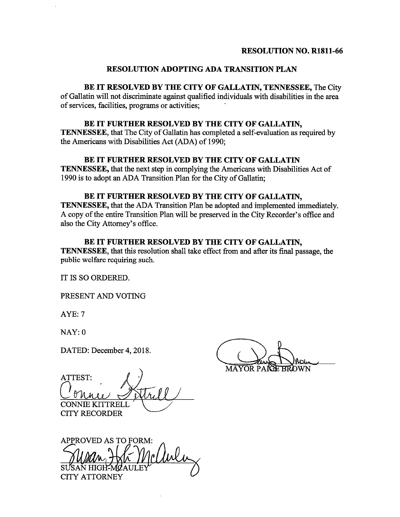#### **RESOLUTION ADOPTING ADA TRANSITION PLAN**

BE IT RESOLVED BY THE CITY OF GALLATIN, TENNESSEE, The City of Gallatin will not discriminate against qualified individuals with disabilities in the area of services, facilities, programs or activities;

#### BE IT FURTHER RESOLVED BY THE CITY OF GALLATIN,

TENNESSEE, that The City of Gallatin has completed a self-evaluation as required by the Americans with Disabilities Act (ADA) of 1990;

#### BE IT FURTHER RESOLVED BY THE CITY OF GALLATIN

TENNESSEE, that the next step in complying the Americans with Disabilities Act of 1990 is to adopt an ADA Transition Plan for the City of Gallatin;

#### BE IT FURTHER RESOLVED BY THE CITY OF GALLATIN,

TENNESSEE, that the ADA Transition Plan be adopted and implemented immediately. A copy of the entire Transition Plan will be preserved in the City Recorder's office and also the City Attorney's office.

#### BE IT FURTHER RESOLVED BY THE CITY OF GALLATIN.

**TENNESSEE**, that this resolution shall take effect from and after its final passage, the public welfare requiring such.

IT IS SO ORDERED.

PRESENT AND VOTING

**AYE: 7** 

 $NAY: 0$ 

DATED: December 4, 2018.

ATTEST: Мил **CONNIE KITTRELL CITY RECORDER** 

APPROVED AS TO FORM: ÍSAN HIGI **CITY ATTORNEY** 

MAYOR PAIGE BROWN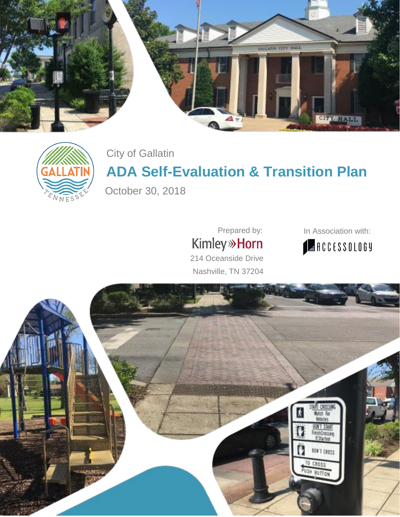



City of Gallatin

**ADA Self-Evaluation & Transition Plan**

October 30, 2018

Prepared by: **Kimley » Horn** 

214 Oceanside Drive Nashville, TN 37204

In Association with:**ARCCESSOLOGY** 

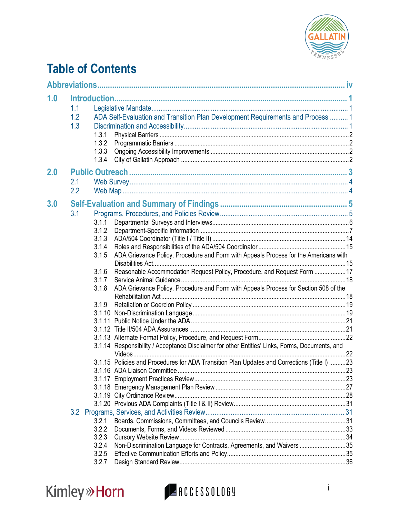

# **Table of Contents**

| 1.0 | 1.1<br>1.2<br>1.3 | 1.3.1<br>1.3.2<br>1.3.3<br>1.3.4                                                                                                    | ADA Self-Evaluation and Transition Plan Development Requirements and Process  1                                                                                                                                                                                                                                                                                                                                                                                                                                                                                    |  |
|-----|-------------------|-------------------------------------------------------------------------------------------------------------------------------------|--------------------------------------------------------------------------------------------------------------------------------------------------------------------------------------------------------------------------------------------------------------------------------------------------------------------------------------------------------------------------------------------------------------------------------------------------------------------------------------------------------------------------------------------------------------------|--|
| 2.0 | 2.1<br>2.2        |                                                                                                                                     |                                                                                                                                                                                                                                                                                                                                                                                                                                                                                                                                                                    |  |
| 3.0 | 3.1               | 3.1.1<br>3.1.2<br>3.1.3<br>3.1.4<br>3.1.5<br>3.1.6<br>3.1.7<br>3.1.8<br>3.1.9<br>3.2.1<br>3.2.2<br>3.2.3<br>3.2.4<br>3.2.5<br>3.2.7 | ADA Grievance Policy, Procedure and Form with Appeals Process for the Americans with<br>Reasonable Accommodation Request Policy, Procedure, and Request Form  17<br>ADA Grievance Policy, Procedure and Form with Appeals Process for Section 508 of the<br>3.1.14 Responsibility / Acceptance Disclaimer for other Entities' Links, Forms, Documents, and<br>3.1.15 Policies and Procedures for ADA Transition Plan Updates and Corrections (Title I) 23<br>3.1.16 ADA Liaison Committee.<br>Non-Discrimination Language for Contracts, Agreements, and Waivers35 |  |

ARCCESSOLOGY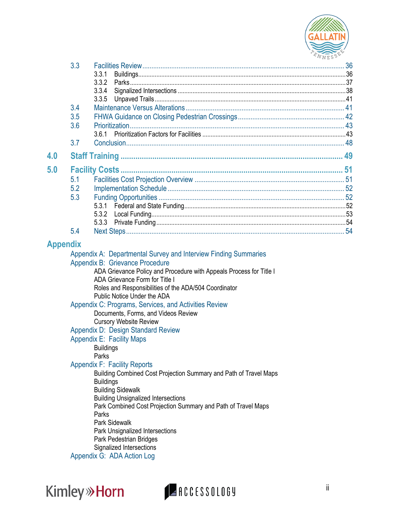

|     |                 |                                                                                                    | $\mathcal{L}_{N_{N}F55}$ |
|-----|-----------------|----------------------------------------------------------------------------------------------------|--------------------------|
|     | 3.3             |                                                                                                    |                          |
|     |                 | 3.3.1                                                                                              |                          |
|     |                 | 3.3.2                                                                                              |                          |
|     |                 | 3.3.4                                                                                              |                          |
|     | 3.4             | 3.3.5                                                                                              |                          |
|     | 3.5             |                                                                                                    |                          |
|     | 3.6             |                                                                                                    |                          |
|     |                 |                                                                                                    |                          |
|     | 3.7             |                                                                                                    |                          |
| 4.0 |                 |                                                                                                    |                          |
|     |                 |                                                                                                    |                          |
| 5.0 |                 |                                                                                                    |                          |
|     | 5.1             |                                                                                                    |                          |
|     | 5.2             |                                                                                                    |                          |
|     | 5.3             |                                                                                                    |                          |
|     |                 | 5.3.2                                                                                              |                          |
|     |                 | 5.3.3                                                                                              |                          |
|     | 5.4             |                                                                                                    |                          |
|     |                 |                                                                                                    |                          |
|     | <b>Appendix</b> |                                                                                                    |                          |
|     |                 | Appendix A: Departmental Survey and Interview Finding Summaries<br>Appendix B: Grievance Procedure |                          |
|     |                 | ADA Grievance Policy and Procedure with Appeals Process for Title I                                |                          |
|     |                 | ADA Grievance Form for Title I                                                                     |                          |
|     |                 | Roles and Responsibilities of the ADA/504 Coordinator                                              |                          |
|     |                 | Public Notice Under the ADA                                                                        |                          |
|     |                 | Appendix C: Programs, Services, and Activities Review                                              |                          |
|     |                 | Documents, Forms, and Videos Review                                                                |                          |
|     |                 | <b>Cursory Website Review</b>                                                                      |                          |
|     |                 | Appendix D: Design Standard Review                                                                 |                          |
|     |                 | <b>Appendix E: Facility Maps</b>                                                                   |                          |
|     |                 | <b>Buildings</b><br>Parks                                                                          |                          |
|     |                 | <b>Appendix F: Facility Reports</b>                                                                |                          |
|     |                 | Building Combined Cost Projection Summary and Path of Travel Maps                                  |                          |
|     |                 | <b>Buildings</b>                                                                                   |                          |
|     |                 | <b>Building Sidewalk</b>                                                                           |                          |
|     |                 | <b>Building Unsignalized Intersections</b>                                                         |                          |
|     |                 | Park Combined Cost Projection Summary and Path of Travel Maps                                      |                          |
|     |                 | Parks                                                                                              |                          |
|     |                 | Park Sidewalk<br>Park Unsignalized Intersections                                                   |                          |
|     |                 |                                                                                                    |                          |

[Park Unsignalized Intersections](#page-60-22) [Park Pedestrian Bridges](#page-60-23)

[Signalized Intersections](#page-60-24)

[Appendix G: ADA Action Log](#page-60-25)



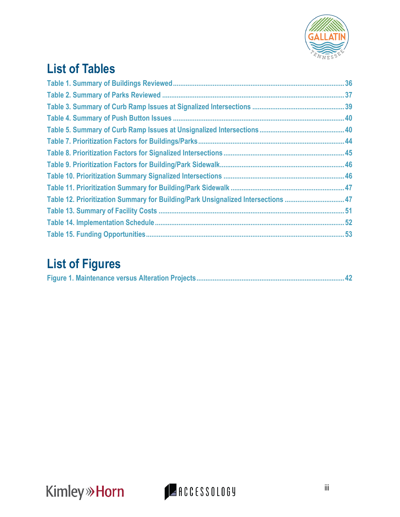

# **List of Tables**

| Table 12. Prioritization Summary for Building/Park Unsignalized Intersections  47 |  |
|-----------------------------------------------------------------------------------|--|
|                                                                                   |  |
|                                                                                   |  |
|                                                                                   |  |

# **List of Figures**

|--|--|



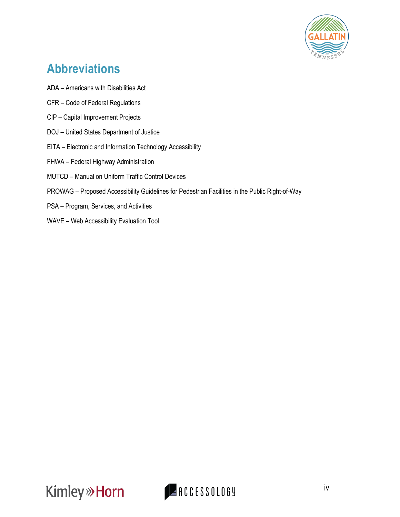

# <span id="page-5-0"></span>**Abbreviations**

- ADA Americans with Disabilities Act
- CFR Code of Federal Regulations
- CIP Capital Improvement Projects
- DOJ United States Department of Justice
- EITA Electronic and Information Technology Accessibility
- FHWA Federal Highway Administration
- MUTCD Manual on Uniform Traffic Control Devices
- PROWAG Proposed Accessibility Guidelines for Pedestrian Facilities in the Public Right-of-Way
- PSA Program, Services, and Activities
- WAVE Web Accessibility Evaluation Tool

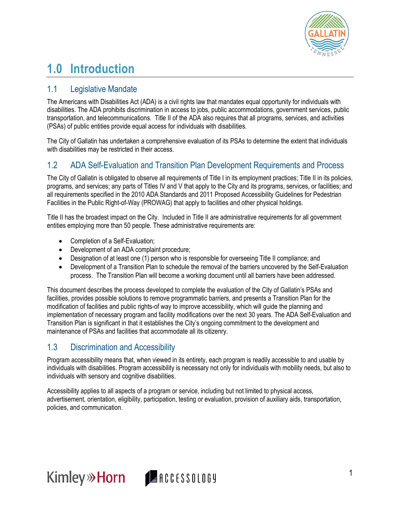

# <span id="page-6-0"></span>**1.0 Introduction**

# <span id="page-6-1"></span>1.1 Legislative Mandate

The Americans with Disabilities Act (ADA) is a civil rights law that mandates equal opportunity for individuals with disabilities. The ADA prohibits discrimination in access to jobs, public accommodations, government services, public transportation, and telecommunications. Title II of the ADA also requires that all programs, services, and activities (PSAs) of public entities provide equal access for individuals with disabilities.

The City of Gallatin has undertaken a comprehensive evaluation of its PSAs to determine the extent that individuals with disabilities may be restricted in their access.

# <span id="page-6-2"></span>1.2 ADA Self-Evaluation and Transition Plan Development Requirements and Process

The City of Gallatin is obligated to observe all requirements of Title I in its employment practices; Title II in its policies, programs, and services; any parts of Titles IV and V that apply to the City and its programs, services, or facilities; and all requirements specified in the 2010 ADA Standards and 2011 Proposed Accessibility Guidelines for Pedestrian Facilities in the Public Right-of-Way (PROWAG) that apply to facilities and other physical holdings.

Title II has the broadest impact on the City. Included in Title II are administrative requirements for all government entities employing more than 50 people. These administrative requirements are:

- Completion of a Self-Evaluation;
- Development of an ADA complaint procedure;
- Designation of at least one (1) person who is responsible for overseeing Title II compliance; and
- Development of a Transition Plan to schedule the removal of the barriers uncovered by the Self-Evaluation process. The Transition Plan will become a working document until all barriers have been addressed.

This document describes the process developed to complete the evaluation of the City of Gallatin's PSAs and facilities, provides possible solutions to remove programmatic barriers, and presents a Transition Plan for the modification of facilities and public rights-of way to improve accessibility, which will guide the planning and implementation of necessary program and facility modifications over the next 30 years. The ADA Self-Evaluation and Transition Plan is significant in that it establishes the City's ongoing commitment to the development and maintenance of PSAs and facilities that accommodate all its citizenry.

# <span id="page-6-3"></span>1.3 Discrimination and Accessibility

Program accessibility means that, when viewed in its entirety, each program is readily accessible to and usable by individuals with disabilities. Program accessibility is necessary not only for individuals with mobility needs, but also to individuals with sensory and cognitive disabilities.

Accessibility applies to all aspects of a program or service, including but not limited to physical access, advertisement, orientation, eligibility, participation, testing or evaluation, provision of auxiliary aids, transportation, policies, and communication.



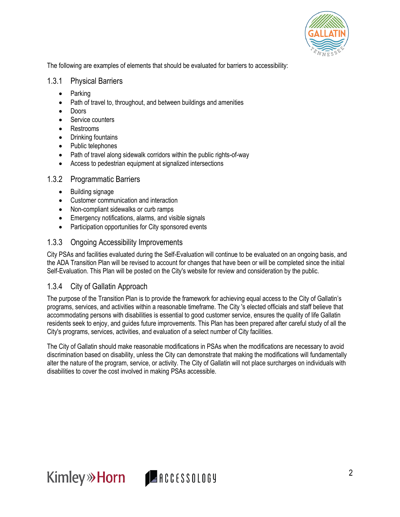

The following are examples of elements that should be evaluated for barriers to accessibility:

## <span id="page-7-0"></span>1.3.1 Physical Barriers

- **Parking**
- Path of travel to, throughout, and between buildings and amenities
- Doors
- Service counters
- Restrooms
- Drinking fountains
- Public telephones
- Path of travel along sidewalk corridors within the public rights-of-way
- Access to pedestrian equipment at signalized intersections

## <span id="page-7-1"></span>1.3.2 Programmatic Barriers

- Building signage
- Customer communication and interaction
- Non-compliant sidewalks or curb ramps
- Emergency notifications, alarms, and visible signals
- Participation opportunities for City sponsored events

# <span id="page-7-2"></span>1.3.3 Ongoing Accessibility Improvements

City PSAs and facilities evaluated during the Self-Evaluation will continue to be evaluated on an ongoing basis, and the ADA Transition Plan will be revised to account for changes that have been or will be completed since the initial Self-Evaluation. This Plan will be posted on the City's website for review and consideration by the public.

## <span id="page-7-3"></span>1.3.4 City of Gallatin Approach

The purpose of the Transition Plan is to provide the framework for achieving equal access to the City of Gallatin's programs, services, and activities within a reasonable timeframe. The City 's elected officials and staff believe that accommodating persons with disabilities is essential to good customer service, ensures the quality of life Gallatin residents seek to enjoy, and guides future improvements. This Plan has been prepared after careful study of all the City's programs, services, activities, and evaluation of a select number of City facilities.

The City of Gallatin should make reasonable modifications in PSAs when the modifications are necessary to avoid discrimination based on disability, unless the City can demonstrate that making the modifications will fundamentally alter the nature of the program, service, or activity. The City of Gallatin will not place surcharges on individuals with disabilities to cover the cost involved in making PSAs accessible.

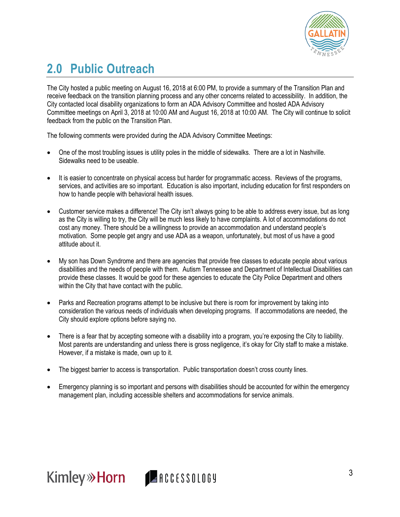

# <span id="page-8-0"></span>**2.0 Public Outreach**

The City hosted a public meeting on August 16, 2018 at 6:00 PM, to provide a summary of the Transition Plan and receive feedback on the transition planning process and any other concerns related to accessibility. In addition, the City contacted local disability organizations to form an ADA Advisory Committee and hosted ADA Advisory Committee meetings on April 3, 2018 at 10:00 AM and August 16, 2018 at 10:00 AM. The City will continue to solicit feedback from the public on the Transition Plan.

The following comments were provided during the ADA Advisory Committee Meetings:

- One of the most troubling issues is utility poles in the middle of sidewalks. There are a lot in Nashville. Sidewalks need to be useable.
- It is easier to concentrate on physical access but harder for programmatic access. Reviews of the programs, services, and activities are so important. Education is also important, including education for first responders on how to handle people with behavioral health issues.
- Customer service makes a difference! The City isn't always going to be able to address every issue, but as long as the City is willing to try, the City will be much less likely to have complaints. A lot of accommodations do not cost any money. There should be a willingness to provide an accommodation and understand people's motivation. Some people get angry and use ADA as a weapon, unfortunately, but most of us have a good attitude about it.
- My son has Down Syndrome and there are agencies that provide free classes to educate people about various disabilities and the needs of people with them. Autism Tennessee and Department of Intellectual Disabilities can provide these classes. It would be good for these agencies to educate the City Police Department and others within the City that have contact with the public.
- Parks and Recreation programs attempt to be inclusive but there is room for improvement by taking into consideration the various needs of individuals when developing programs. If accommodations are needed, the City should explore options before saying no.
- There is a fear that by accepting someone with a disability into a program, you're exposing the City to liability. Most parents are understanding and unless there is gross negligence, it's okay for City staff to make a mistake. However, if a mistake is made, own up to it.
- The biggest barrier to access is transportation. Public transportation doesn't cross county lines.
- Emergency planning is so important and persons with disabilities should be accounted for within the emergency management plan, including accessible shelters and accommodations for service animals.

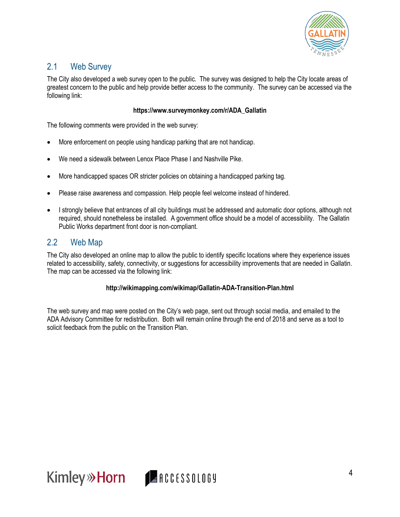

# <span id="page-9-0"></span>2.1 Web Survey

The City also developed a web survey open to the public. The survey was designed to help the City locate areas of greatest concern to the public and help provide better access to the community. The survey can be accessed via the following link:

#### **[https://www.surveymonkey.com/r/ADA\\_Gallatin](https://www.surveymonkey.com/r/ADA_Gallatin)**

The following comments were provided in the web survey:

- More enforcement on people using handicap parking that are not handicap.
- We need a sidewalk between Lenox Place Phase I and Nashville Pike.
- More handicapped spaces OR stricter policies on obtaining a handicapped parking tag.
- Please raise awareness and compassion. Help people feel welcome instead of hindered.
- I strongly believe that entrances of all city buildings must be addressed and automatic door options, although not required, should nonetheless be installed. A government office should be a model of accessibility. The Gallatin Public Works department front door is non-compliant.

## <span id="page-9-1"></span>2.2 Web Map

The City also developed an online map to allow the public to identify specific locations where they experience issues related to accessibility, safety, connectivity, or suggestions for accessibility improvements that are needed in Gallatin. The map can be accessed via the following link:

#### **<http://wikimapping.com/wikimap/Gallatin-ADA-Transition-Plan.html>**

The web survey and map were posted on the City's web page, sent out through social media, and emailed to the ADA Advisory Committee for redistribution. Both will remain online through the end of 2018 and serve as a tool to solicit feedback from the public on the Transition Plan.

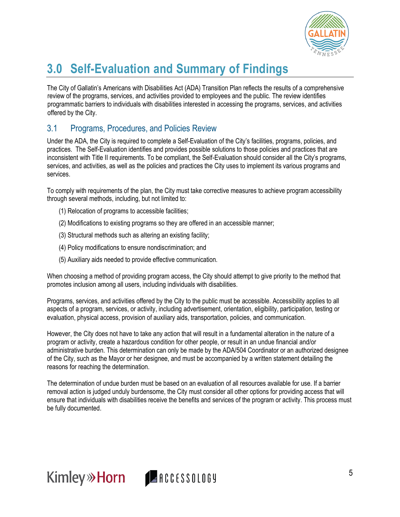<span id="page-10-2"></span>

# <span id="page-10-0"></span>**3.0 Self-Evaluation and Summary of Findings**

The City of Gallatin's Americans with Disabilities Act (ADA) Transition Plan reflects the results of a comprehensive review of the programs, services, and activities provided to employees and the public. The review identifies programmatic barriers to individuals with disabilities interested in accessing the programs, services, and activities offered by the City.

# <span id="page-10-1"></span>3.1 [Programs, Procedures, and Policies Review](#page-10-2)

Under the ADA, the City is required to complete a Self-Evaluation of the City's facilities, programs, policies, and practices. The Self-Evaluation identifies and provides possible solutions to those policies and practices that are inconsistent with Title II requirements. To be compliant, the Self-Evaluation should consider all the City's programs, services, and activities, as well as the policies and practices the City uses to implement its various programs and services.

To comply with requirements of the plan, the City must take corrective measures to achieve program accessibility through several methods, including, but not limited to:

- (1) Relocation of programs to accessible facilities;
- (2) Modifications to existing programs so they are offered in an accessible manner;
- (3) Structural methods such as altering an existing facility;
- (4) Policy modifications to ensure nondiscrimination; and
- (5) Auxiliary aids needed to provide effective communication.

When choosing a method of providing program access, the City should attempt to give priority to the method that promotes inclusion among all users, including individuals with disabilities.

Programs, services, and activities offered by the City to the public must be accessible. Accessibility applies to all aspects of a program, services, or activity, including advertisement, orientation, eligibility, participation, testing or evaluation, physical access, provision of auxiliary aids, transportation, policies, and communication.

However, the City does not have to take any action that will result in a fundamental alteration in the nature of a program or activity, create a hazardous condition for other people, or result in an undue financial and/or administrative burden. This determination can only be made by the ADA/504 Coordinator or an authorized designee of the City, such as the Mayor or her designee, and must be accompanied by a written statement detailing the reasons for reaching the determination.

The determination of undue burden must be based on an evaluation of all resources available for use. If a barrier removal action is judged unduly burdensome, the City must consider all other options for providing access that will ensure that individuals with disabilities receive the benefits and services of the program or activity. This process must be fully documented.



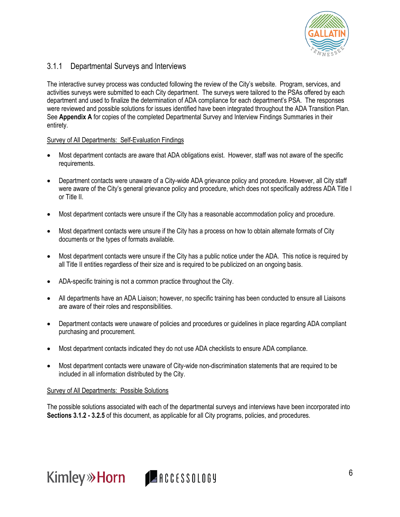

## <span id="page-11-0"></span>3.1.1 Departmental Surveys and Interviews

The interactive survey process was conducted following the review of the City's website. Program, services, and activities surveys were submitted to each City department. The surveys were tailored to the PSAs offered by each department and used to finalize the determination of ADA compliance for each department's PSA. The responses were reviewed and possible solutions for issues identified have been integrated throughout the ADA Transition Plan. See **[Appendix A](#page-60-1)** for copies of the completed Departmental Survey and Interview Findings Summaries in their entirety.

## Survey of All Departments: Self-Evaluation Findings

- Most department contacts are aware that ADA obligations exist. However, staff was not aware of the specific requirements.
- Department contacts were unaware of a City-wide ADA grievance policy and procedure. However, all City staff were aware of the City's general grievance policy and procedure, which does not specifically address ADA Title I or Title II.
- Most department contacts were unsure if the City has a reasonable accommodation policy and procedure.
- Most department contacts were unsure if the City has a process on how to obtain alternate formats of City documents or the types of formats available.
- Most department contacts were unsure if the City has a public notice under the ADA. This notice is required by all Title II entities regardless of their size and is required to be publicized on an ongoing basis.
- ADA-specific training is not a common practice throughout the City.
- All departments have an ADA Liaison; however, no specific training has been conducted to ensure all Liaisons are aware of their roles and responsibilities.
- Department contacts were unaware of policies and procedures or guidelines in place regarding ADA compliant purchasing and procurement.
- Most department contacts indicated they do not use ADA checklists to ensure ADA compliance.
- Most department contacts were unaware of City-wide non-discrimination statements that are required to be included in all information distributed by the City.

## Survey of All Departments: Possible Solutions

The possible solutions associated with each of the departmental surveys and interviews have been incorporated into **[Sections 3.1.2 -](#page-12-0) 3.2.5** of this document, as applicable for all City programs, policies, and procedures.



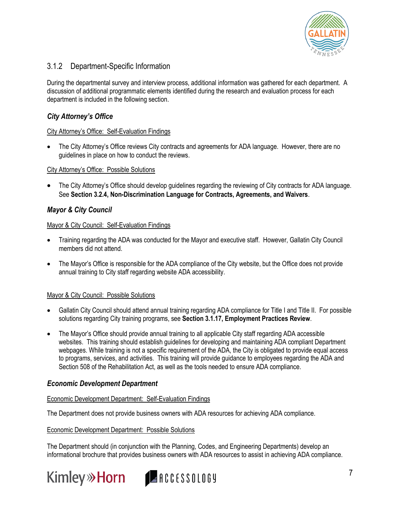

# <span id="page-12-0"></span>3.1.2 Department-Specific Information

During the departmental survey and interview process, additional information was gathered for each department. A discussion of additional programmatic elements identified during the research and evaluation process for each department is included in the following section.

## *City Attorney's Office*

City Attorney's Office: Self-Evaluation Findings

• The City Attorney's Office reviews City contracts and agreements for ADA language. However, there are no guidelines in place on how to conduct the reviews.

#### City Attorney's Office: Possible Solutions

• The City Attorney's Office should develop guidelines regarding the reviewing of City contracts for ADA language. See **Section 3.2.4, [Non-Discrimination Language for Contracts, Agreements, and Waivers](#page-40-0)**.

## *Mayor & City Council*

#### Mayor & City Council: Self-Evaluation Findings

- Training regarding the ADA was conducted for the Mayor and executive staff. However, Gallatin City Council members did not attend.
- The Mayor's Office is responsible for the ADA compliance of the City website, but the Office does not provide annual training to City staff regarding website ADA accessibility.

#### Mayor & City Council: Possible Solutions

- Gallatin City Council should attend annual training regarding ADA compliance for Title I and Title II. For possible solutions regarding City training programs, see **Section 3.1.17, [Employment Practices Review](#page-28-2)**.
- The Mayor's Office should provide annual training to all applicable City staff regarding ADA accessible websites. This training should establish guidelines for developing and maintaining ADA compliant Department webpages. While training is not a specific requirement of the ADA, the City is obligated to provide equal access to programs, services, and activities. This training will provide guidance to employees regarding the ADA and Section 508 of the Rehabilitation Act, as well as the tools needed to ensure ADA compliance.

## *Economic Development Department*

#### Economic Development Department: Self-Evaluation Findings

The Department does not provide business owners with ADA resources for achieving ADA compliance.

Economic Development Department: Possible Solutions

The Department should (in conjunction with the Planning, Codes, and Engineering Departments) develop an informational brochure that provides business owners with ADA resources to assist in achieving ADA compliance.



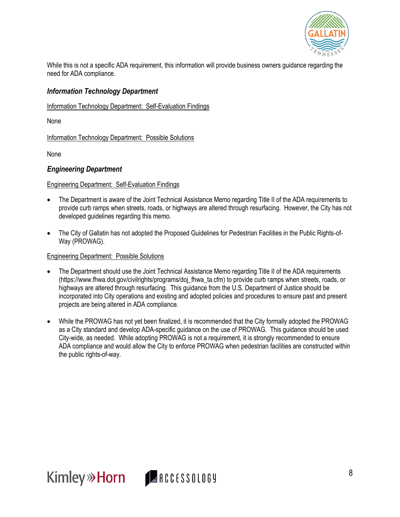

While this is not a specific ADA requirement, this information will provide business owners guidance regarding the need for ADA compliance.

## *Information Technology Department*

Information Technology Department: Self-Evaluation Findings

None

Information Technology Department: Possible Solutions

None

## *Engineering Department*

#### Engineering Department: Self-Evaluation Findings

- The Department is aware of the Joint Technical Assistance Memo regarding Title II of the ADA requirements to provide curb ramps when streets, roads, or highways are altered through resurfacing. However, the City has not developed guidelines regarding this memo.
- The City of Gallatin has not adopted the Proposed Guidelines for Pedestrian Facilities in the Public Rights-of-Way (PROWAG).

#### Engineering Department: Possible Solutions

- The Department should use the Joint Technical Assistance Memo regarding Title II of the ADA requirements [\(https://www.fhwa.dot.gov/civilrights/programs/doj\\_fhwa\\_ta.cfm\)](https://www.fhwa.dot.gov/civilrights/programs/doj_fhwa_ta.cfm) to provide curb ramps when streets, roads, or highways are altered through resurfacing. This guidance from the U.S. Department of Justice should be incorporated into City operations and existing and adopted policies and procedures to ensure past and present projects are being altered in ADA compliance.
- While the PROWAG has not yet been finalized, it is recommended that the City formally adopted the PROWAG as a City standard and develop ADA-specific guidance on the use of PROWAG. This guidance should be used City-wide, as needed. While adopting PROWAG is not a requirement, it is strongly recommended to ensure ADA compliance and would allow the City to enforce PROWAG when pedestrian facilities are constructed within the public rights-of-way.

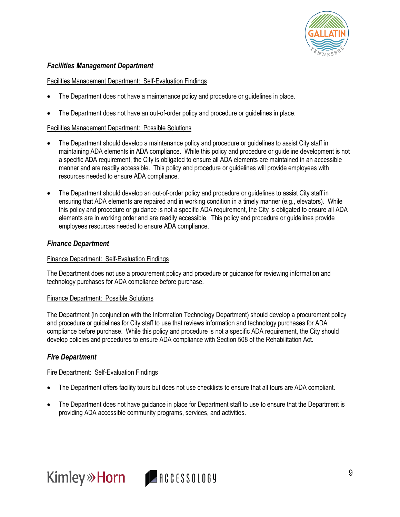

## *Facilities Management Department*

#### Facilities Management Department: Self-Evaluation Findings

- The Department does not have a maintenance policy and procedure or guidelines in place.
- The Department does not have an out-of-order policy and procedure or guidelines in place.

#### Facilities Management Department: Possible Solutions

- The Department should develop a maintenance policy and procedure or guidelines to assist City staff in maintaining ADA elements in ADA compliance. While this policy and procedure or guideline development is not a specific ADA requirement, the City is obligated to ensure all ADA elements are maintained in an accessible manner and are readily accessible. This policy and procedure or guidelines will provide employees with resources needed to ensure ADA compliance.
- The Department should develop an out-of-order policy and procedure or guidelines to assist City staff in ensuring that ADA elements are repaired and in working condition in a timely manner (e.g., elevators). While this policy and procedure or guidance is not a specific ADA requirement, the City is obligated to ensure all ADA elements are in working order and are readily accessible. This policy and procedure or guidelines provide employees resources needed to ensure ADA compliance.

## *Finance Department*

#### Finance Department: Self-Evaluation Findings

The Department does not use a procurement policy and procedure or guidance for reviewing information and technology purchases for ADA compliance before purchase.

#### Finance Department: Possible Solutions

The Department (in conjunction with the Information Technology Department) should develop a procurement policy and procedure or guidelines for City staff to use that reviews information and technology purchases for ADA compliance before purchase. While this policy and procedure is not a specific ADA requirement, the City should develop policies and procedures to ensure ADA compliance with Section 508 of the Rehabilitation Act.

## *Fire Department*

#### Fire Department: Self-Evaluation Findings

- The Department offers facility tours but does not use checklists to ensure that all tours are ADA compliant.
- The Department does not have guidance in place for Department staff to use to ensure that the Department is providing ADA accessible community programs, services, and activities.



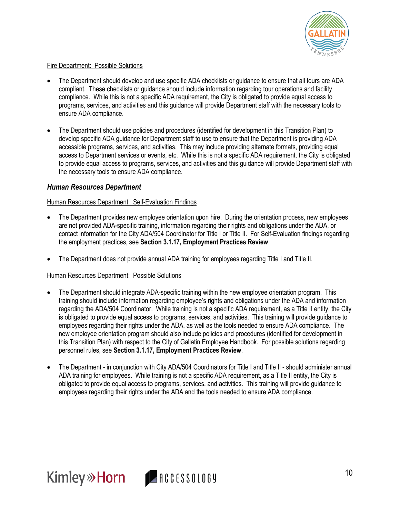

#### Fire Department: Possible Solutions

- The Department should develop and use specific ADA checklists or guidance to ensure that all tours are ADA compliant. These checklists or guidance should include information regarding tour operations and facility compliance. While this is not a specific ADA requirement, the City is obligated to provide equal access to programs, services, and activities and this guidance will provide Department staff with the necessary tools to ensure ADA compliance.
- The Department should use policies and procedures (identified for development in this Transition Plan) to develop specific ADA guidance for Department staff to use to ensure that the Department is providing ADA accessible programs, services, and activities. This may include providing alternate formats, providing equal access to Department services or events, etc. While this is not a specific ADA requirement, the City is obligated to provide equal access to programs, services, and activities and this guidance will provide Department staff with the necessary tools to ensure ADA compliance.

## *Human Resources Department*

#### Human Resources Department: Self-Evaluation Findings

- The Department provides new employee orientation upon hire. During the orientation process, new employees are not provided ADA-specific training, information regarding their rights and obligations under the ADA, or contact information for the City ADA/504 Coordinator for Title I or Title II. For Self-Evaluation findings regarding the employment practices, see **Section 3.1.17, [Employment Practices Review](#page-28-2)**.
- The Department does not provide annual ADA training for employees regarding Title I and Title II.

#### **Human Resources Department: Possible Solutions**

- The Department should integrate ADA-specific training within the new employee orientation program. This training should include information regarding employee's rights and obligations under the ADA and information regarding the ADA/504 Coordinator. While training is not a specific ADA requirement, as a Title II entity, the City is obligated to provide equal access to programs, services, and activities. This training will provide guidance to employees regarding their rights under the ADA, as well as the tools needed to ensure ADA compliance. The new employee orientation program should also include policies and procedures (identified for development in this Transition Plan) with respect to the City of Gallatin Employee Handbook. For possible solutions regarding personnel rules, see **Section 3.1.17, [Employment Practices](#page-28-2) Review**.
- The Department in conjunction with City ADA/504 Coordinators for Title I and Title II should administer annual ADA training for employees. While training is not a specific ADA requirement, as a Title II entity, the City is obligated to provide equal access to programs, services, and activities. This training will provide guidance to employees regarding their rights under the ADA and the tools needed to ensure ADA compliance.

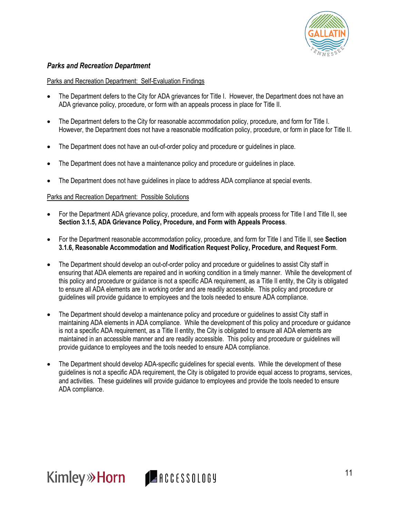

## *Parks and Recreation Department*

#### Parks and Recreation Department: Self-Evaluation Findings

- The Department defers to the City for ADA grievances for Title I. However, the Department does not have an ADA grievance policy, procedure, or form with an appeals process in place for Title II.
- The Department defers to the City for reasonable accommodation policy, procedure, and form for Title I. However, the Department does not have a reasonable modification policy, procedure, or form in place for Title II.
- The Department does not have an out-of-order policy and procedure or guidelines in place.
- The Department does not have a maintenance policy and procedure or guidelines in place.
- The Department does not have guidelines in place to address ADA compliance at special events.

#### Parks and Recreation Department: Possible Solutions

- For the Department ADA grievance policy, procedure, and form with appeals process for Title I and Title II, see **Section 3.1.5, [ADA Grievance Policy, Procedure, and Form with Appeals Process](#page-20-1)**.
- For the Department reasonable accommodation policy, procedure, and form for Title I and Title II, see **[Section](#page-22-0)  3.1.6, Reasonable Accommodation [and Modification Request Policy, Procedure, and Request Form](#page-22-0)**.
- The Department should develop an out-of-order policy and procedure or guidelines to assist City staff in ensuring that ADA elements are repaired and in working condition in a timely manner. While the development of this policy and procedure or guidance is not a specific ADA requirement, as a Title II entity, the City is obligated to ensure all ADA elements are in working order and are readily accessible. This policy and procedure or guidelines will provide guidance to employees and the tools needed to ensure ADA compliance.
- The Department should develop a maintenance policy and procedure or quidelines to assist City staff in maintaining ADA elements in ADA compliance. While the development of this policy and procedure or guidance is not a specific ADA requirement, as a Title II entity, the City is obligated to ensure all ADA elements are maintained in an accessible manner and are readily accessible. This policy and procedure or guidelines will provide guidance to employees and the tools needed to ensure ADA compliance.
- The Department should develop ADA-specific guidelines for special events. While the development of these guidelines is not a specific ADA requirement, the City is obligated to provide equal access to programs, services, and activities. These guidelines will provide guidance to employees and provide the tools needed to ensure ADA compliance.

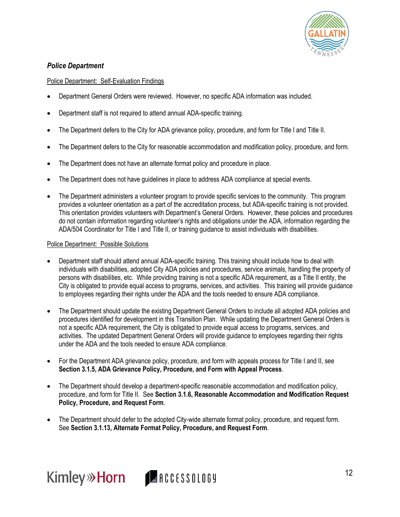

## *Police Department*

#### Police Department: Self-Evaluation Findings

- Department General Orders were reviewed. However, no specific ADA information was included.
- Department staff is not required to attend annual ADA-specific training.
- The Department defers to the City for ADA grievance policy, procedure, and form for Title I and Title II.
- The Department defers to the City for reasonable accommodation and modification policy, procedure, and form.
- The Department does not have an alternate format policy and procedure in place.
- The Department does not have guidelines in place to address ADA compliance at special events.
- The Department administers a volunteer program to provide specific services to the community. This program provides a volunteer orientation as a part of the accreditation process, but ADA-specific training is not provided. This orientation provides volunteers with Department's General Orders. However, these policies and procedures do not contain information regarding volunteer's rights and obligations under the ADA, information regarding the ADA/504 Coordinator for Title I and Title II, or training guidance to assist individuals with disabilities.

#### Police Department: Possible Solutions

- Department staff should attend annual ADA-specific training. This training should include how to deal with individuals with disabilities, adopted City ADA policies and procedures, service animals, handling the property of persons with disabilities, etc. While providing training is not a specific ADA requirement, as a Title II entity, the City is obligated to provide equal access to programs, services, and activities. This training will provide guidance to employees regarding their rights under the ADA and the tools needed to ensure ADA compliance.
- The Department should update the existing Department General Orders to include all adopted ADA policies and procedures identified for development in this Transition Plan. While updating the Department General Orders is not a specific ADA requirement, the City is obligated to provide equal access to programs, services, and activities. The updated Department General Orders will provide guidance to employees regarding their rights under the ADA and the tools needed to ensure ADA compliance.
- For the Department ADA grievance policy, procedure, and form with appeals process for Title I and II, see **Section 3.1.5, [ADA Grievance Policy, Procedure, and Form with Appeal Process](#page-20-1)**.
- The Department should develop a department-specific reasonable accommodation and modification policy, procedure, and form for Title II. See **Section 3.1.6, [Reasonable Accommodation](#page-22-0) and Modification Request [Policy, Procedure, and Request Form](#page-22-0)**.
- The Department should defer to the adopted City-wide alternate format policy, procedure, and request form. See **Section 3.1.13, [Alternate Format Policy, Procedure, and Request Form](#page-27-0)**.

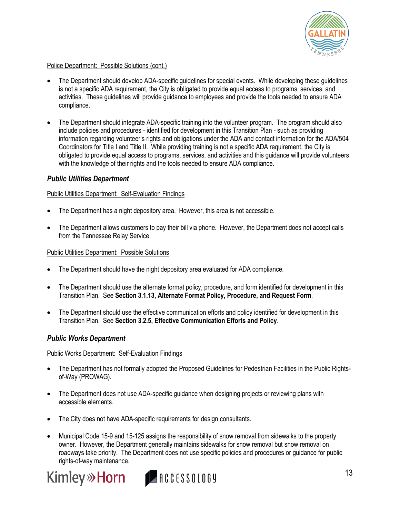

#### Police Department: Possible Solutions (cont.)

- The Department should develop ADA-specific guidelines for special events. While developing these guidelines is not a specific ADA requirement, the City is obligated to provide equal access to programs, services, and activities. These guidelines will provide guidance to employees and provide the tools needed to ensure ADA compliance.
- The Department should integrate ADA-specific training into the volunteer program. The program should also include policies and procedures - identified for development in this Transition Plan - such as providing information regarding volunteer's rights and obligations under the ADA and contact information for the ADA/504 Coordinators for Title I and Title II. While providing training is not a specific ADA requirement, the City is obligated to provide equal access to programs, services, and activities and this guidance will provide volunteers with the knowledge of their rights and the tools needed to ensure ADA compliance.

#### *Public Utilities Department*

#### Public Utilities Department: Self-Evaluation Findings

- The Department has a night depository area. However, this area is not accessible.
- The Department allows customers to pay their bill via phone. However, the Department does not accept calls from the Tennessee Relay Service.

#### Public Utilities Department: Possible Solutions

- The Department should have the night depository area evaluated for ADA compliance.
- The Department should use the alternate format policy, procedure, and form identified for development in this Transition Plan. See **Section 3.1.13, [Alternate Format Policy, Procedure, and Request Form](#page-27-0)**.
- The Department should use the effective communication efforts and policy identified for development in this Transition Plan. See **Section 3.2.5, [Effective Communication Efforts and Policy](#page-40-1)**.

## *Public Works Department*

#### Public Works Department: Self-Evaluation Findings

- The Department has not formally adopted the Proposed Guidelines for Pedestrian Facilities in the Public Rightsof-Way (PROWAG).
- The Department does not use ADA-specific guidance when designing projects or reviewing plans with accessible elements.
- The City does not have ADA-specific requirements for design consultants.
- Municipal Code 15-9 and 15-125 assigns the responsibility of snow removal from sidewalks to the property owner. However, the Department generally maintains sidewalks for snow removal but snow removal on roadways take priority. The Department does not use specific policies and procedures or guidance for public rights-of-way maintenance.



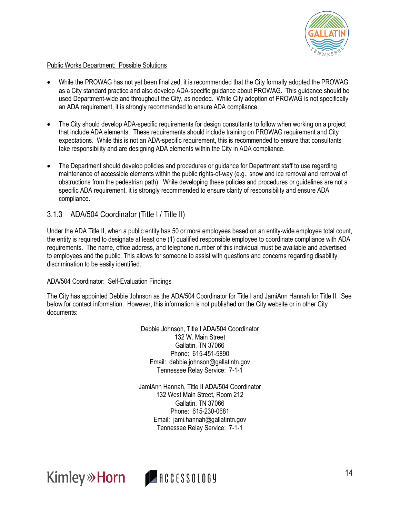

#### Public Works Department: Possible Solutions

- While the PROWAG has not yet been finalized, it is recommended that the City formally adopted the PROWAG as a City standard practice and also develop ADA-specific guidance about PROWAG. This guidance should be used Department-wide and throughout the City, as needed. While City adoption of PROWAG is not specifically an ADA requirement, it is strongly recommended to ensure ADA compliance.
- The City should develop ADA-specific requirements for design consultants to follow when working on a project that include ADA elements. These requirements should include training on PROWAG requirement and City expectations. While this is not an ADA-specific requirement, this is recommended to ensure that consultants take responsibility and are designing ADA elements within the City in ADA compliance.
- The Department should develop policies and procedures or guidance for Department staff to use regarding maintenance of accessible elements within the public rights-of-way (e.g., snow and ice removal and removal of obstructions from the pedestrian path). While developing these policies and procedures or guidelines are not a specific ADA requirement, it is strongly recommended to ensure clarity of responsibility and ensure ADA compliance.

## <span id="page-19-0"></span>3.1.3 ADA/504 Coordinator (Title I / Title II)

Under the ADA Title II, when a public entity has 50 or more employees based on an entity-wide employee total count, the entity is required to designate at least one (1) qualified responsible employee to coordinate compliance with ADA requirements. The name, office address, and telephone number of this individual must be available and advertised to employees and the public. This allows for someone to assist with questions and concerns regarding disability discrimination to be easily identified.

#### ADA/504 Coordinator: Self-Evaluation Findings

The City has appointed Debbie Johnson as the ADA/504 Coordinator for Title I and JamiAnn Hannah for Title II. See below for contact information. However, this information is not published on the City website or in other City documents:

> Debbie Johnson, Title I ADA/504 Coordinator 132 W. Main Street Gallatin, TN 37066 Phone: 615-451-5890 Email: [debbie.johnson@gallatintn.gov](mailto:debbie.johnson@gallatintn.gov) Tennessee Relay Service: 7-1-1

JamiAnn Hannah, Title II ADA/504 Coordinator 132 West Main Street, Room 212 Gallatin, TN 37066 Phone: 615-230-0681 Email: [jami.hannah@gallatintn.gov](mailto:jami.hannah@gallatintn.gov) Tennessee Relay Service: 7-1-1



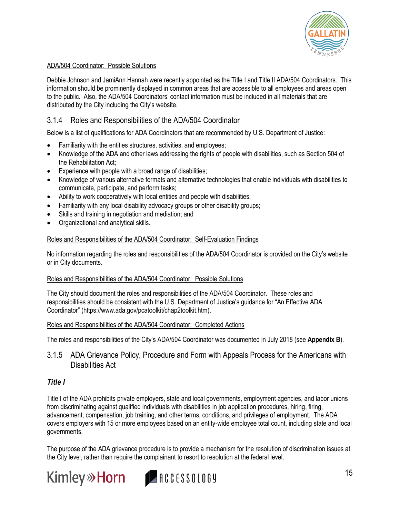

#### ADA/504 Coordinator: Possible Solutions

Debbie Johnson and JamiAnn Hannah were recently appointed as the Title I and Title II ADA/504 Coordinators. This information should be prominently displayed in common areas that are accessible to all employees and areas open to the public. Also, the ADA/504 Coordinators' contact information must be included in all materials that are distributed by the City including the City's website.

## <span id="page-20-0"></span>3.1.4 Roles and Responsibilities of the ADA/504 Coordinator

Below is a list of qualifications for ADA Coordinators that are recommended by U.S. Department of Justice:

- Familiarity with the entities structures, activities, and employees;
- Knowledge of the ADA and other laws addressing the rights of people with disabilities, such as Section 504 of the Rehabilitation Act;
- Experience with people with a broad range of disabilities;
- Knowledge of various alternative formats and alternative technologies that enable individuals with disabilities to communicate, participate, and perform tasks;
- Ability to work cooperatively with local entities and people with disabilities;
- Familiarity with any local disability advocacy groups or other disability groups;
- Skills and training in negotiation and mediation; and
- Organizational and analytical skills.

#### Roles and Responsibilities of the ADA/504 Coordinator: Self-Evaluation Findings

No information regarding the roles and responsibilities of the ADA/504 Coordinator is provided on the City's website or in City documents.

#### Roles and Responsibilities of the ADA/504 Coordinator: Possible Solutions

The City should document the roles and responsibilities of the ADA/504 Coordinator. These roles and responsibilities should be consistent with the U.S. Department of Justice's guidance for "An Effective ADA Coordinator" [\(https://www.ada.gov/pcatoolkit/chap2toolkit.htm\)](https://www.ada.gov/pcatoolkit/chap2toolkit.htm).

#### Roles and Responsibilities of the ADA/504 Coordinator: Completed Actions

The roles and responsibilities of the City's ADA/504 Coordinator was documented in July 2018 (see **[Appendix B](#page-60-2)**).

<span id="page-20-1"></span>3.1.5 ADA Grievance Policy, Procedure and Form with Appeals Process for the Americans with Disabilities Act

#### *Title I*

Title I of the ADA prohibits private employers, state and local governments, employment agencies, and labor unions from discriminating against qualified individuals with disabilities in job application procedures, hiring, firing, advancement, compensation, job training, and other terms, conditions, and privileges of employment. The ADA covers employers with 15 or more employees based on an entity-wide employee total count, including state and local governments.

The purpose of the ADA grievance procedure is to provide a mechanism for the resolution of discrimination issues at the City level, rather than require the complainant to resort to resolution at the federal level.



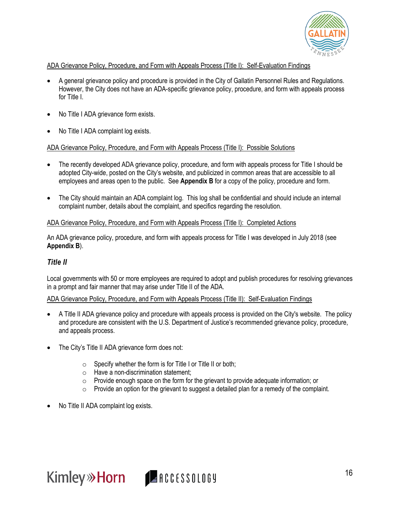

#### ADA Grievance Policy, Procedure, and Form with Appeals Process (Title I): Self-Evaluation Findings

- A general grievance policy and procedure is provided in the City of Gallatin Personnel Rules and Regulations. However, the City does not have an ADA-specific grievance policy, procedure, and form with appeals process for Title I.
- No Title I ADA grievance form exists.
- No Title I ADA complaint log exists.

#### ADA Grievance Policy, Procedure, and Form with Appeals Process (Title I): Possible Solutions

- The recently developed ADA grievance policy, procedure, and form with appeals process for Title I should be adopted City-wide, posted on the City's website, and publicized in common areas that are accessible to all employees and areas open to the public. See **[Appendix B](#page-60-2)** for a copy of the policy, procedure and form.
- The City should maintain an ADA complaint log. This log shall be confidential and should include an internal complaint number, details about the complaint, and specifics regarding the resolution.

#### ADA Grievance Policy, Procedure, and Form with Appeals Process (Title I): Completed Actions

An ADA grievance policy, procedure, and form with appeals process for Title I was developed in July 2018 (see **[Appendix B](#page-60-2)**).

#### *Title II*

Local governments with 50 or more employees are required to adopt and publish procedures for resolving grievances in a prompt and fair manner that may arise under Title II of the ADA.

#### ADA Grievance Policy, Procedure, and Form with Appeals Process (Title II): Self-Evaluation Findings

- A Title II ADA grievance policy and procedure with appeals process is provided on the City's website. The policy and procedure are consistent with the U.S. Department of Justice's recommended grievance policy, procedure, and appeals process.
- The City's Title II ADA grievance form does not:
	- $\circ$  Specify whether the form is for Title I or Title II or both;
	- o Have a non-discrimination statement;
	- $\circ$  Provide enough space on the form for the grievant to provide adequate information; or
	- $\circ$  Provide an option for the grievant to suggest a detailed plan for a remedy of the complaint.
- No Title II ADA complaint log exists.



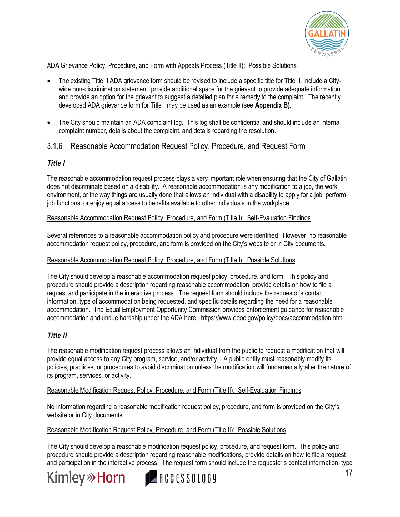

### ADA Grievance Policy, Procedure, and Form with Appeals Process (Title II): Possible Solutions

- The existing Title II ADA grievance form should be revised to include a specific title for Title II, include a Citywide non-discrimination statement, provide additional space for the grievant to provide adequate information, and provide an option for the grievant to suggest a detailed plan for a remedy to the complaint. The recently developed ADA grievance form for Title I may be used as an example (see **[Appendix B\)](#page-60-2).**
- The City should maintain an ADA complaint log. This log shall be confidential and should include an internal complaint number, details about the complaint, and details regarding the resolution.

## <span id="page-22-0"></span>3.1.6 Reasonable Accommodation Request Policy, Procedure, and Request Form

## *Title I*

The reasonable accommodation request process plays a very important role when ensuring that the City of Gallatin does not discriminate based on a disability. A reasonable accommodation is any modification to a job, the work environment, or the way things are usually done that allows an individual with a disability to apply for a job, perform job functions, or enjoy equal access to benefits available to other individuals in the workplace.

#### Reasonable Accommodation Request Policy, Procedure, and Form (Title I): Self-Evaluation Findings

Several references to a reasonable accommodation policy and procedure were identified. However, no reasonable accommodation request policy, procedure, and form is provided on the City's website or in City documents.

#### Reasonable Accommodation Request Policy, Procedure, and Form (Title I): Possible Solutions

The City should develop a reasonable accommodation request policy, procedure, and form. This policy and procedure should provide a description regarding reasonable accommodation, provide details on how to file a request and participate in the interactive process. The request form should include the requestor's contact information, type of accommodation being requested, and specific details regarding the need for a reasonable accommodation. The Equal Employment Opportunity Commission provides enforcement guidance for reasonable accommodation and undue hardship under the ADA here: [https://www.eeoc.gov/policy/docs/accommodation.html.](https://www.eeoc.gov/policy/docs/accommodation.html)

## *Title II*

The reasonable modification request process allows an individual from the public to request a modification that will provide equal access to any City program, service, and/or activity. A public entity must reasonably modify its policies, practices, or procedures to avoid discrimination unless the modification will fundamentally alter the nature of its program, services, or activity.

Reasonable Modification Request Policy, Procedure, and Form (Title II): Self-Evaluation Findings

No information regarding a reasonable modification request policy, procedure, and form is provided on the City's website or in City documents.

Reasonable Modification Request Policy, Procedure, and Form (Title II): Possible Solutions

The City should develop a reasonable modification request policy, procedure, and request form. This policy and procedure should provide a description regarding reasonable modifications, provide details on how to file a request and participation in the interactive process. The request form should include the requestor's contact information, type

**Kimley»Horn** 

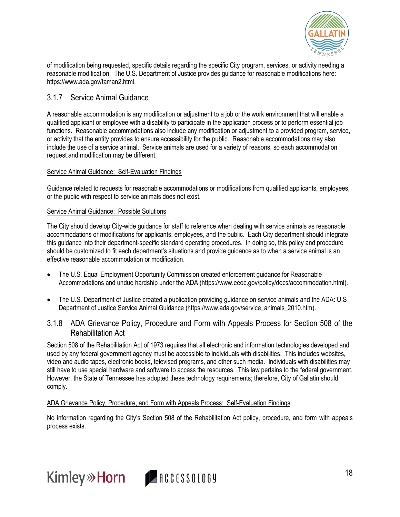

of modification being requested, specific details regarding the specific City program, services, or activity needing a reasonable modification. The U.S. Department of Justice provides guidance for reasonable modifications here: [https://www.ada.gov/taman2.html.](https://www.ada.gov/taman2.html)

# <span id="page-23-0"></span>3.1.7 Service Animal Guidance

A reasonable accommodation is any modification or adjustment to a job or the work environment that will enable a qualified applicant or employee with a disability to participate in the application process or to perform essential job functions. Reasonable accommodations also include any modification or adjustment to a provided program, service, or activity that the entity provides to ensure accessibility for the public. Reasonable accommodations may also include the use of a service animal. Service animals are used for a variety of reasons, so each accommodation request and modification may be different.

## Service Animal Guidance: Self-Evaluation Findings

Guidance related to requests for reasonable accommodations or modifications from qualified applicants, employees, or the public with respect to service animals does not exist.

#### Service Animal Guidance: Possible Solutions

The City should develop City-wide guidance for staff to reference when dealing with service animals as reasonable accommodations or modifications for applicants, employees, and the public. Each City department should integrate this guidance into their department-specific standard operating procedures. In doing so, this policy and procedure should be customized to fit each department's situations and provide guidance as to when a service animal is an effective reasonable accommodation or modification.

- The U.S. Equal Employment Opportunity Commission created enforcement guidance for Reasonable Accommodations and undue hardship under the ADA [\(https://www.eeoc.gov/policy/docs/accommodation.html\)](https://www.eeoc.gov/policy/docs/accommodation.html).
- The U.S. Department of Justice created a publication providing guidance on service animals and the ADA: U.S. Department of Justice Service Animal Guidance [\(https://www.ada.gov/service\\_animals\\_2010.htm\)](https://www.ada.gov/service_animals_2010.htm).
- <span id="page-23-1"></span>3.1.8 ADA Grievance Policy, Procedure and Form with Appeals Process for Section 508 of the Rehabilitation Act

Section 508 of the Rehabilitation Act of 1973 requires that all electronic and information technologies developed and used by any federal government agency must be accessible to individuals with disabilities. This includes websites, video and audio tapes, electronic books, televised programs, and other such media. Individuals with disabilities may still have to use special hardware and software to access the resources. This law pertains to the federal government. However, the State of Tennessee has adopted these technology requirements; therefore, City of Gallatin should comply.

#### ADA Grievance Policy, Procedure, and Form with Appeals Process: Self-Evaluation Findings

No information regarding the City's Section 508 of the Rehabilitation Act policy, procedure, and form with appeals process exists.



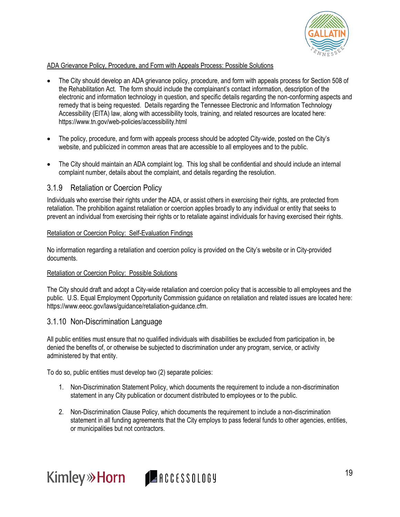

#### ADA Grievance Policy, Procedure, and Form with Appeals Process: Possible Solutions

- The City should develop an ADA grievance policy, procedure, and form with appeals process for Section 508 of the Rehabilitation Act. The form should include the complainant's contact information, description of the electronic and information technology in question, and specific details regarding the non-conforming aspects and remedy that is being requested. Details regarding the Tennessee Electronic and Information Technology Accessibility (EITA) law, along with accessibility tools, training, and related resources are located here: <https://www.tn.gov/web-policies/accessibility.html>
- The policy, procedure, and form with appeals process should be adopted City-wide, posted on the City's website, and publicized in common areas that are accessible to all employees and to the public.
- The City should maintain an ADA complaint log. This log shall be confidential and should include an internal complaint number, details about the complaint, and details regarding the resolution.

## <span id="page-24-0"></span>3.1.9 Retaliation or Coercion Policy

Individuals who exercise their rights under the ADA, or assist others in exercising their rights, are protected from retaliation. The prohibition against retaliation or coercion applies broadly to any individual or entity that seeks to prevent an individual from exercising their rights or to retaliate against individuals for having exercised their rights.

#### Retaliation or Coercion Policy: Self-Evaluation Findings

No information regarding a retaliation and coercion policy is provided on the City's website or in City-provided documents.

#### Retaliation or Coercion Policy: Possible Solutions

The City should draft and adopt a City-wide retaliation and coercion policy that is accessible to all employees and the public. U.S. Equal Employment Opportunity Commission guidance on retaliation and related issues are located here: [https://www.eeoc.gov/laws/guidance/retaliation-guidance.cfm.](https://www.eeoc.gov/laws/guidance/retaliation-guidance.cfm)

#### <span id="page-24-1"></span>3.1.10 Non-Discrimination Language

All public entities must ensure that no qualified individuals with disabilities be excluded from participation in, be denied the benefits of, or otherwise be subjected to discrimination under any program, service, or activity administered by that entity.

To do so, public entities must develop two (2) separate policies:

- 1. Non-Discrimination Statement Policy, which documents the requirement to include a non-discrimination statement in any City publication or document distributed to employees or to the public.
- 2. Non-Discrimination Clause Policy, which documents the requirement to include a non-discrimination statement in all funding agreements that the City employs to pass federal funds to other agencies, entities, or municipalities but not contractors.



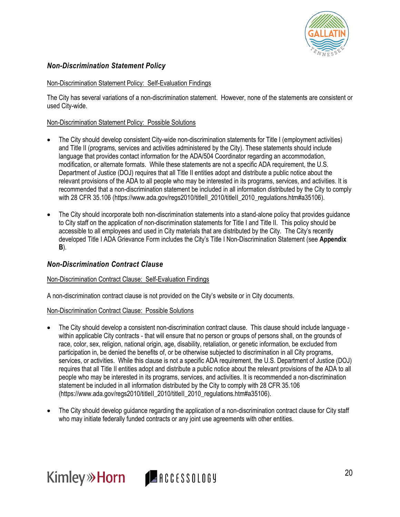

## *Non-Discrimination Statement Policy*

#### Non-Discrimination Statement Policy: Self-Evaluation Findings

The City has several variations of a non-discrimination statement. However, none of the statements are consistent or used City-wide.

#### Non-Discrimination Statement Policy: Possible Solutions

- The City should develop consistent City-wide non-discrimination statements for Title I (employment activities) and Title II (programs, services and activities administered by the City). These statements should include language that provides contact information for the ADA/504 Coordinator regarding an accommodation, modification, or alternate formats. While these statements are not a specific ADA requirement, the U.S. Department of Justice (DOJ) requires that all Title II entities adopt and distribute a public notice about the relevant provisions of the ADA to all people who may be interested in its programs, services, and activities. It is recommended that a non-discrimination statement be included in all information distributed by the City to comply with 28 CFR 35.106 [\(https://www.ada.gov/regs2010/titleII\\_2010/titleII\\_2010\\_regulations.htm#a35106\)](https://www.ada.gov/regs2010/titleII_2010/titleII_2010_regulations.htm%23a35106).
- The City should incorporate both non-discrimination statements into a stand-alone policy that provides guidance to City staff on the application of non-discrimination statements for Title I and Title II. This policy should be accessible to all employees and used in City materials that are distributed by the City. The City's recently developed Title I ADA Grievance Form includes the City's Title I Non-Discrimination Statement (see **[Appendix](#page-60-2)  [B](#page-60-2)**).

## *Non-Discrimination Contract Clause*

#### Non-Discrimination Contract Clause: Self-Evaluation Findings

A non-discrimination contract clause is not provided on the City's website or in City documents.

#### Non-Discrimination Contract Clause: Possible Solutions

- The City should develop a consistent non-discrimination contract clause. This clause should include language within applicable City contracts - that will ensure that no person or groups of persons shall, on the grounds of race, color, sex, religion, national origin, age, disability, retaliation, or genetic information, be excluded from participation in, be denied the benefits of, or be otherwise subjected to discrimination in all City programs, services, or activities. While this clause is not a specific ADA requirement, the U.S. Department of Justice (DOJ) requires that all Title II entities adopt and distribute a public notice about the relevant provisions of the ADA to all people who may be interested in its programs, services, and activities. It is recommended a non-discrimination statement be included in all information distributed by the City to comply with 28 CFR 35.106 [\(https://www.ada.gov/regs2010/titleII\\_2010/titleII\\_2010\\_regulations.htm#a35106\)](https://www.ada.gov/regs2010/titleII_2010/titleII_2010_regulations.htm%23a35106).
- The City should develop quidance regarding the application of a non-discrimination contract clause for City staff who may initiate federally funded contracts or any joint use agreements with other entities.

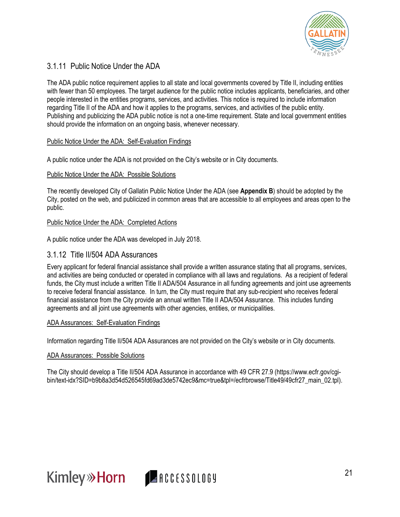

# <span id="page-26-0"></span>3.1.11 Public Notice Under the ADA

The ADA public notice requirement applies to all state and local governments covered by Title II, including entities with fewer than 50 employees. The target audience for the public notice includes applicants, beneficiaries, and other people interested in the entities programs, services, and activities. This notice is required to include information regarding Title II of the ADA and how it applies to the programs, services, and activities of the public entity. Publishing and publicizing the ADA public notice is not a one-time requirement. State and local government entities should provide the information on an ongoing basis, whenever necessary.

## Public Notice Under the ADA: Self-Evaluation Findings

A public notice under the ADA is not provided on the City's website or in City documents.

## Public Notice Under the ADA: Possible Solutions

The recently developed City of Gallatin Public Notice Under the ADA (see **[Appendix B](#page-60-2)**) should be adopted by the City, posted on the web, and publicized in common areas that are accessible to all employees and areas open to the public.

#### Public Notice Under the ADA: Completed Actions

A public notice under the ADA was developed in July 2018.

## <span id="page-26-1"></span>3.1.12 Title II/504 ADA Assurances

Every applicant for federal financial assistance shall provide a written assurance stating that all programs, services, and activities are being conducted or operated in compliance with all laws and regulations. As a recipient of federal funds, the City must include a written Title II ADA/504 Assurance in all funding agreements and joint use agreements to receive federal financial assistance. In turn, the City must require that any sub-recipient who receives federal financial assistance from the City provide an annual written Title II ADA/504 Assurance. This includes funding agreements and all joint use agreements with other agencies, entities, or municipalities.

#### ADA Assurances: Self-Evaluation Findings

Information regarding Title II/504 ADA Assurances are not provided on the City's website or in City documents.

## ADA Assurances: Possible Solutions

The City should develop a Title II/504 ADA Assurance in accordance with 49 CFR 27.9 [\(https://www.ecfr.gov/cgi](https://www.ecfr.gov/cgi-bin/text-idx?SID=b9b8a3d54d526545fd69ad3de5742ec9&mc=true&tpl=/ecfrbrowse/Title49/49cfr27_main_02.tpl)[bin/text-idx?SID=b9b8a3d54d526545fd69ad3de5742ec9&mc=true&tpl=/ecfrbrowse/Title49/49cfr27\\_main\\_02.tpl\)](https://www.ecfr.gov/cgi-bin/text-idx?SID=b9b8a3d54d526545fd69ad3de5742ec9&mc=true&tpl=/ecfrbrowse/Title49/49cfr27_main_02.tpl).

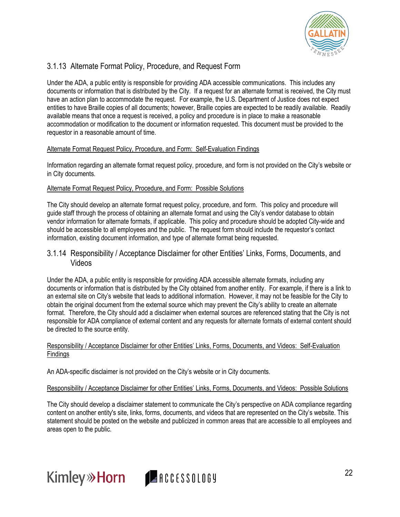

# <span id="page-27-0"></span>3.1.13 Alternate Format Policy, Procedure, and Request Form

Under the ADA, a public entity is responsible for providing ADA accessible communications. This includes any documents or information that is distributed by the City. If a request for an alternate format is received, the City must have an action plan to accommodate the request. For example, the U.S. Department of Justice does not expect entities to have Braille copies of all documents; however, Braille copies are expected to be readily available. Readily available means that once a request is received, a policy and procedure is in place to make a reasonable accommodation or modification to the document or information requested. This document must be provided to the requestor in a reasonable amount of time.

## Alternate Format Request Policy, Procedure, and Form: Self-Evaluation Findings

Information regarding an alternate format request policy, procedure, and form is not provided on the City's website or in City documents.

#### Alternate Format Request Policy, Procedure, and Form: Possible Solutions

The City should develop an alternate format request policy, procedure, and form. This policy and procedure will guide staff through the process of obtaining an alternate format and using the City's vendor database to obtain vendor information for alternate formats, if applicable. This policy and procedure should be adopted City-wide and should be accessible to all employees and the public. The request form should include the requestor's contact information, existing document information, and type of alternate format being requested.

## <span id="page-27-1"></span>3.1.14 Responsibility / Acceptance Disclaimer for other Entities' Links, Forms, Documents, and Videos

Under the ADA, a public entity is responsible for providing ADA accessible alternate formats, including any documents or information that is distributed by the City obtained from another entity. For example, if there is a link to an external site on City's website that leads to additional information. However, it may not be feasible for the City to obtain the original document from the external source which may prevent the City's ability to create an alternate format. Therefore, the City should add a disclaimer when external sources are referenced stating that the City is not responsible for ADA compliance of external content and any requests for alternate formats of external content should be directed to the source entity.

#### Responsibility / Acceptance Disclaimer for other Entities' Links, Forms, Documents, and Videos: Self-Evaluation **Findings**

An ADA-specific disclaimer is not provided on the City's website or in City documents.

#### Responsibility / Acceptance Disclaimer for other Entities' Links, Forms, Documents, and Videos: Possible Solutions

The City should develop a disclaimer statement to communicate the City's perspective on ADA compliance regarding content on another entity's site, links, forms, documents, and videos that are represented on the City's website. This statement should be posted on the website and publicized in common areas that are accessible to all employees and areas open to the public.



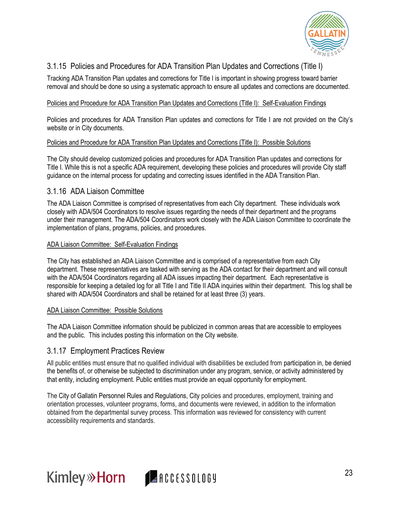

# <span id="page-28-0"></span>3.1.15 Policies and Procedures for ADA Transition Plan Updates and Corrections (Title I)

Tracking ADA Transition Plan updates and corrections for Title I is important in showing progress toward barrier removal and should be done so using a systematic approach to ensure all updates and corrections are documented.

## Policies and Procedure for ADA Transition Plan Updates and Corrections (Title I): Self-Evaluation Findings

Policies and procedures for ADA Transition Plan updates and corrections for Title I are not provided on the City's website or in City documents.

#### Policies and Procedure for ADA Transition Plan Updates and Corrections (Title I): Possible Solutions

The City should develop customized policies and procedures for ADA Transition Plan updates and corrections for Title I. While this is not a specific ADA requirement, developing these policies and procedures will provide City staff guidance on the internal process for updating and correcting issues identified in the ADA Transition Plan.

## <span id="page-28-1"></span>3.1.16 ADA Liaison Committee

The ADA Liaison Committee is comprised of representatives from each City department. These individuals work closely with ADA/504 Coordinators to resolve issues regarding the needs of their department and the programs under their management. The ADA/504 Coordinators work closely with the ADA Liaison Committee to coordinate the implementation of plans, programs, policies, and procedures.

## ADA Liaison Committee: Self-Evaluation Findings

The City has established an ADA Liaison Committee and is comprised of a representative from each City department. These representatives are tasked with serving as the ADA contact for their department and will consult with the ADA/504 Coordinators regarding all ADA issues impacting their department. Each representative is responsible for keeping a detailed log for all Title I and Title II ADA inquiries within their department. This log shall be shared with ADA/504 Coordinators and shall be retained for at least three (3) years.

#### ADA Liaison Committee: Possible Solutions

The ADA Liaison Committee information should be publicized in common areas that are accessible to employees and the public. This includes posting this information on the City website.

## <span id="page-28-2"></span>3.1.17 Employment Practices Review

All public entities must ensure that no qualified individual with disabilities be excluded from participation in, be denied the benefits of, or otherwise be subjected to discrimination under any program, service, or activity administered by that entity, including employment. Public entities must provide an equal opportunity for employment.

The City of Gallatin Personnel Rules and Regulations, City policies and procedures, employment, training and orientation processes, volunteer programs, forms, and documents were reviewed, in addition to the information obtained from the departmental survey process. This information was reviewed for consistency with current accessibility requirements and standards.

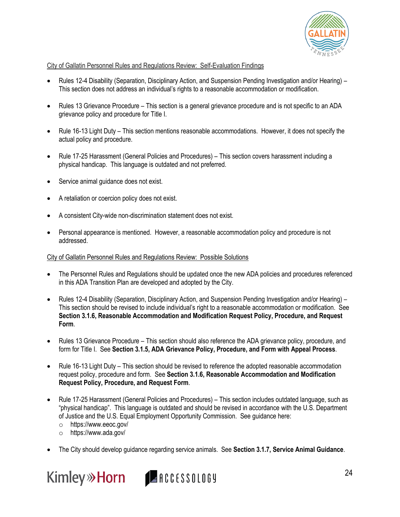

#### City of Gallatin Personnel Rules and Regulations Review: Self-Evaluation Findings

- Rules 12-4 Disability (Separation, Disciplinary Action, and Suspension Pending Investigation and/or Hearing) This section does not address an individual's rights to a reasonable accommodation or modification.
- Rules 13 Grievance Procedure This section is a general grievance procedure and is not specific to an ADA grievance policy and procedure for Title I.
- Rule 16-13 Light Duty This section mentions reasonable accommodations. However, it does not specify the actual policy and procedure.
- Rule 17-25 Harassment (General Policies and Procedures) This section covers harassment including a physical handicap. This language is outdated and not preferred.
- Service animal guidance does not exist.
- A retaliation or coercion policy does not exist.
- A consistent City-wide non-discrimination statement does not exist.
- Personal appearance is mentioned. However, a reasonable accommodation policy and procedure is not addressed.

#### City of Gallatin Personnel Rules and Regulations Review: Possible Solutions

- The Personnel Rules and Regulations should be updated once the new ADA policies and procedures referenced in this ADA Transition Plan are developed and adopted by the City.
- Rules 12-4 Disability (Separation, Disciplinary Action, and Suspension Pending Investigation and/or Hearing) This section should be revised to include individual's right to a reasonable accommodation or modification. See **Section 3.1.6, [Reasonable Accommodation and Modification Request Policy, Procedure, and Request](#page-22-0)  [Form](#page-22-0)**.
- Rules 13 Grievance Procedure This section should also reference the ADA grievance policy, procedure, and form for Title I. See **Section 3.1.5, [ADA Grievance Policy, Procedure, and Form with Appeal Process](#page-20-1)**.
- Rule 16-13 Light Duty This section should be revised to reference the adopted reasonable accommodation request policy, procedure and form. See **Section 3.1.6, [Reasonable Accommodation](#page-22-0) and Modification [Request Policy, Procedure, and Request Form](#page-22-0)**.
- Rule 17-25 Harassment (General Policies and Procedures) This section includes outdated language, such as "physical handicap". This language is outdated and should be revised in accordance with the U.S. Department of Justice and the U.S. Equal Employment Opportunity Commission. See guidance here:
	- o <https://www.eeoc.gov/>
	- o <https://www.ada.gov/>
- The City should develop guidance regarding service animals. See **Section 3.1.7, [Service Animal Guidance](#page-23-0)**.

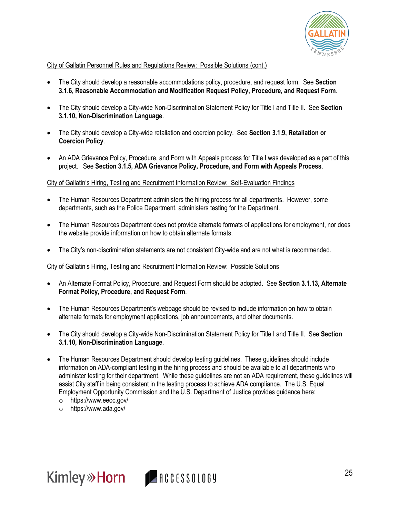

#### City of Gallatin Personnel Rules and Regulations Review: Possible Solutions (cont.)

- The City should develop a reasonable accommodations policy, procedure, and request form. See **[Section](#page-22-0)  3.1.6, [Reasonable Accommodation and Modification Request Policy, Procedure, and Request Form](#page-22-0)**.
- The City should develop a City-wide Non-Discrimination Statement Policy for Title I and Title II. See **[Section](#page-24-1)  3.1.10, [Non-Discrimination Language](#page-24-1)**.
- The City should develop a City-wide retaliation and coercion policy. See **Section 3.1.9, [Retaliation or](#page-24-0)  [Coercion Policy](#page-24-0)**.
- An ADA Grievance Policy, Procedure, and Form with Appeals process for Title I was developed as a part of this project. See **Section 3.1.5, [ADA Grievance Policy, Procedure, and Form with Appeals Process](#page-20-1)**.

#### City of Gallatin's Hiring, Testing and Recruitment Information Review: Self-Evaluation Findings

- The Human Resources Department administers the hiring process for all departments. However, some departments, such as the Police Department, administers testing for the Department.
- The Human Resources Department does not provide alternate formats of applications for employment, nor does the website provide information on how to obtain alternate formats.
- The City's non-discrimination statements are not consistent City-wide and are not what is recommended.

#### City of Gallatin's Hiring, Testing and Recruitment Information Review: Possible Solutions

- An Alternate Format Policy, Procedure, and Request Form should be adopted. See **[Section 3.1.13,](#page-27-0) Alternate [Format Policy, Procedure, and Request Form](#page-27-0)**.
- The Human Resources Department's webpage should be revised to include information on how to obtain alternate formats for employment applications, job announcements, and other documents.
- The City should develop a City-wide Non-Discrimination Statement Policy for Title I and Title II. See **[Section](#page-24-1)  3.1.10, [Non-Discrimination Language](#page-24-1)**.
- The Human Resources Department should develop testing guidelines. These guidelines should include information on ADA-compliant testing in the hiring process and should be available to all departments who administer testing for their department. While these guidelines are not an ADA requirement, these guidelines will assist City staff in being consistent in the testing process to achieve ADA compliance. The U.S. Equal Employment Opportunity Commission and the U.S. Department of Justice provides guidance here:
	- o <https://www.eeoc.gov/>
	- o <https://www.ada.gov/>

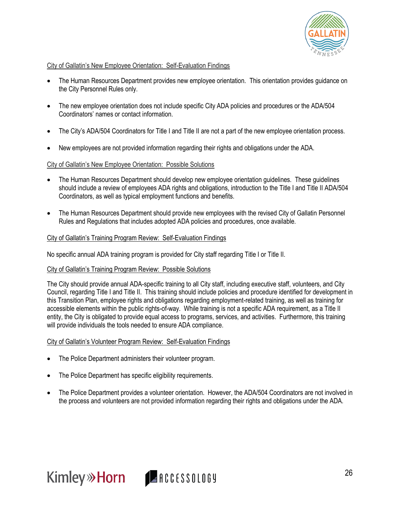

#### City of Gallatin's New Employee Orientation: Self-Evaluation Findings

- The Human Resources Department provides new employee orientation. This orientation provides guidance on the City Personnel Rules only.
- The new employee orientation does not include specific City ADA policies and procedures or the ADA/504 Coordinators' names or contact information.
- The City's ADA/504 Coordinators for Title I and Title II are not a part of the new employee orientation process.
- New employees are not provided information regarding their rights and obligations under the ADA.

#### City of Gallatin's New Employee Orientation: Possible Solutions

- The Human Resources Department should develop new employee orientation guidelines. These guidelines should include a review of employees ADA rights and obligations, introduction to the Title I and Title II ADA/504 Coordinators, as well as typical employment functions and benefits.
- The Human Resources Department should provide new employees with the revised City of Gallatin Personnel Rules and Regulations that includes adopted ADA policies and procedures, once available.

#### City of Gallatin's Training Program Review: Self-Evaluation Findings

No specific annual ADA training program is provided for City staff regarding Title I or Title II.

#### City of Gallatin's Training Program Review: Possible Solutions

The City should provide annual ADA-specific training to all City staff, including executive staff, volunteers, and City Council, regarding Title I and Title II. This training should include policies and procedure identified for development in this Transition Plan, employee rights and obligations regarding employment-related training, as well as training for accessible elements within the public rights-of-way. While training is not a specific ADA requirement, as a Title II entity, the City is obligated to provide equal access to programs, services, and activities. Furthermore, this training will provide individuals the tools needed to ensure ADA compliance.

#### City of Gallatin's Volunteer Program Review: Self-Evaluation Findings

- The Police Department administers their volunteer program.
- The Police Department has specific eligibility requirements.
- The Police Department provides a volunteer orientation. However, the ADA/504 Coordinators are not involved in the process and volunteers are not provided information regarding their rights and obligations under the ADA.

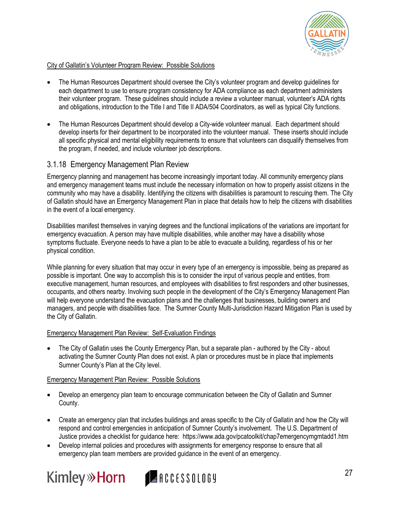

#### City of Gallatin's Volunteer Program Review: Possible Solutions

- The Human Resources Department should oversee the City's volunteer program and develop guidelines for each department to use to ensure program consistency for ADA compliance as each department administers their volunteer program. These guidelines should include a review a volunteer manual, volunteer's ADA rights and obligations, introduction to the Title I and Title II ADA/504 Coordinators, as well as typical City functions.
- The Human Resources Department should develop a City-wide volunteer manual. Each department should develop inserts for their department to be incorporated into the volunteer manual. These inserts should include all specific physical and mental eligibility requirements to ensure that volunteers can disqualify themselves from the program, if needed, and include volunteer job descriptions.

## <span id="page-32-0"></span>3.1.18 Emergency Management Plan Review

Emergency planning and management has become increasingly important today. All community emergency plans and emergency management teams must include the necessary information on how to properly assist citizens in the community who may have a disability. Identifying the citizens with disabilities is paramount to rescuing them. The City of Gallatin should have an Emergency Management Plan in place that details how to help the citizens with disabilities in the event of a local emergency.

Disabilities manifest themselves in varying degrees and the functional implications of the variations are important for emergency evacuation. A person may have multiple disabilities, while another may have a disability whose symptoms fluctuate. Everyone needs to have a plan to be able to evacuate a building, regardless of his or her physical condition.

While planning for every situation that may occur in every type of an emergency is impossible, being as prepared as possible is important. One way to accomplish this is to consider the input of various people and entities, from executive management, human resources, and employees with disabilities to first responders and other businesses, occupants, and others nearby. Involving such people in the development of the City's Emergency Management Plan will help everyone understand the evacuation plans and the challenges that businesses, building owners and managers, and people with disabilities face. The Sumner County Multi-Jurisdiction Hazard Mitigation Plan is used by the City of Gallatin.

#### Emergency Management Plan Review: Self-Evaluation Findings

• The City of Gallatin uses the County Emergency Plan, but a separate plan - authored by the City - about activating the Sumner County Plan does not exist. A plan or procedures must be in place that implements Sumner County's Plan at the City level.

#### Emergency Management Plan Review: Possible Solutions

- Develop an emergency plan team to encourage communication between the City of Gallatin and Sumner County.
- Create an emergency plan that includes buildings and areas specific to the City of Gallatin and how the City will respond and control emergencies in anticipation of Sumner County's involvement. The U.S. Department of Justice provides a checklist for guidance here:<https://www.ada.gov/pcatoolkit/chap7emergencymgmtadd1.htm>
- Develop internal policies and procedures with assignments for emergency response to ensure that all emergency plan team members are provided guidance in the event of an emergency.



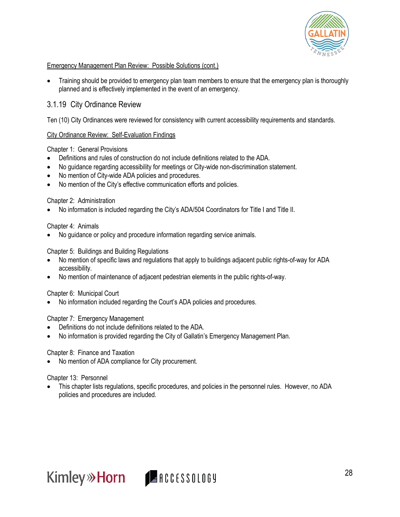

#### Emergency Management Plan Review: Possible Solutions (cont.)

- Training should be provided to emergency plan team members to ensure that the emergency plan is thoroughly planned and is effectively implemented in the event of an emergency.
- <span id="page-33-0"></span>3.1.19 City Ordinance Review
- Ten (10) City Ordinances were reviewed for consistency with current accessibility requirements and standards.

## City Ordinance Review: Self-Evaluation Findings

Chapter 1: General Provisions

- Definitions and rules of construction do not include definitions related to the ADA.
- No guidance regarding accessibility for meetings or City-wide non-discrimination statement.
- No mention of City-wide ADA policies and procedures.
- No mention of the City's effective communication efforts and policies.

## Chapter 2: Administration

No information is included regarding the City's ADA/504 Coordinators for Title I and Title II.

Chapter 4: Animals

• No guidance or policy and procedure information regarding service animals.

Chapter 5: Buildings and Building Regulations

- No mention of specific laws and regulations that apply to buildings adjacent public rights-of-way for ADA accessibility.
- No mention of maintenance of adjacent pedestrian elements in the public rights-of-way.

Chapter 6: Municipal Court

• No information included regarding the Court's ADA policies and procedures.

Chapter 7: Emergency Management

- Definitions do not include definitions related to the ADA.
- No information is provided regarding the City of Gallatin's Emergency Management Plan.

#### Chapter 8: Finance and Taxation

No mention of ADA compliance for City procurement.

#### Chapter 13: Personnel

• This chapter lists regulations, specific procedures, and policies in the personnel rules. However, no ADA policies and procedures are included.

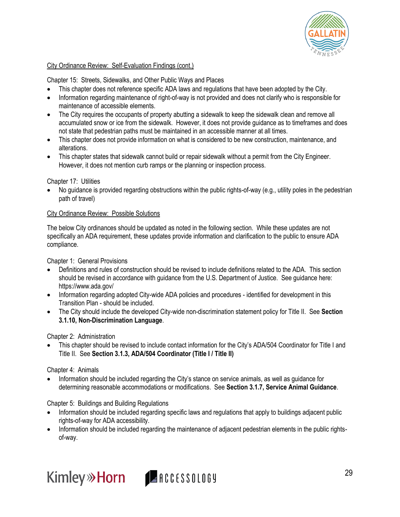

#### City Ordinance Review: Self-Evaluation Findings (cont.)

Chapter 15: Streets, Sidewalks, and Other Public Ways and Places

- This chapter does not reference specific ADA laws and regulations that have been adopted by the City.
- Information regarding maintenance of right-of-way is not provided and does not clarify who is responsible for maintenance of accessible elements.
- The City requires the occupants of property abutting a sidewalk to keep the sidewalk clean and remove all accumulated snow or ice from the sidewalk. However, it does not provide guidance as to timeframes and does not state that pedestrian paths must be maintained in an accessible manner at all times.
- This chapter does not provide information on what is considered to be new construction, maintenance, and alterations.
- This chapter states that sidewalk cannot build or repair sidewalk without a permit from the City Engineer. However, it does not mention curb ramps or the planning or inspection process.

Chapter 17: Utilities

• No guidance is provided regarding obstructions within the public rights-of-way (e.g., utility poles in the pedestrian path of travel)

#### City Ordinance Review: Possible Solutions

The below City ordinances should be updated as noted in the following section. While these updates are not specifically an ADA requirement, these updates provide information and clarification to the public to ensure ADA compliance.

Chapter 1: General Provisions

- Definitions and rules of construction should be revised to include definitions related to the ADA. This section should be revised in accordance with guidance from the U.S. Department of Justice. See guidance here: https://www.ada.gov/
- Information regarding adopted City-wide ADA policies and procedures identified for development in this Transition Plan - should be included.
- The City should include the developed City-wide non-discrimination statement policy for Title II. See **[Section](#page-24-1)  3.1.10, [Non-Discrimination Language](#page-24-1)**.

Chapter 2: Administration

• This chapter should be revised to include contact information for the City's ADA/504 Coordinator for Title I and Title II. See **Section 3.1.3, [ADA/504 Coordinator \(Title I / Title II\)](#page-19-0)**

Chapter 4: Animals

• Information should be included regarding the City's stance on service animals, as well as guidance for determining reasonable accommodations or modifications. See **Section 3.1.7, [Service Animal Guidance](#page-23-0)**.

Chapter 5: Buildings and Building Regulations

- Information should be included regarding specific laws and regulations that apply to buildings adjacent public rights-of-way for ADA accessibility.
- Information should be included regarding the maintenance of adjacent pedestrian elements in the public rightsof-way.



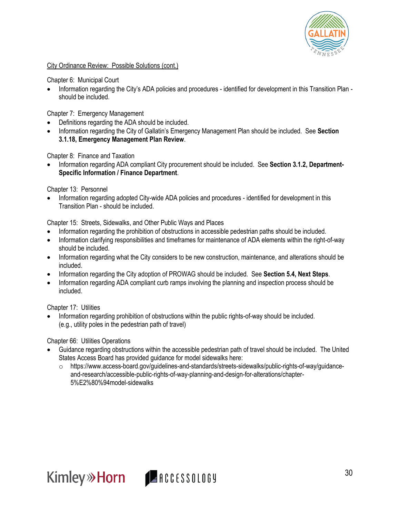

#### City Ordinance Review: Possible Solutions (cont.)

Chapter 6: Municipal Court

• Information regarding the City's ADA policies and procedures - identified for development in this Transition Plan should be included.

Chapter 7: Emergency Management

- Definitions regarding the ADA should be included.
- Information regarding the City of Gallatin's Emergency Management Plan should be included. See **[Section](#page-32-0)  3.1.18, [Emergency Management Plan Review](#page-32-0)**.

Chapter 8: Finance and Taxation

• Information regarding ADA compliant City procurement should be included. See **[Section 3.1.2,](#page-12-0) Department-[Specific Information / Finance Department](#page-12-0)**.

Chapter 13: Personnel

• Information regarding adopted City-wide ADA policies and procedures - identified for development in this Transition Plan - should be included.

Chapter 15: Streets, Sidewalks, and Other Public Ways and Places

- Information regarding the prohibition of obstructions in accessible pedestrian paths should be included.
- Information clarifying responsibilities and timeframes for maintenance of ADA elements within the right-of-way should be included.
- Information regarding what the City considers to be new construction, maintenance, and alterations should be included.
- Information regarding the City adoption of PROWAG should be included. See **[Section 5.4,](#page-59-1) Next Steps**.
- Information regarding ADA compliant curb ramps involving the planning and inspection process should be included.

Chapter 17: Utilities

• Information regarding prohibition of obstructions within the public rights-of-way should be included. (e.g., utility poles in the pedestrian path of travel)

#### Chapter 66: Utilities Operations

- Guidance regarding obstructions within the accessible pedestrian path of travel should be included. The United States Access Board has provided guidance for model sidewalks here:
	- o [https://www.access-board.gov/guidelines-and-standards/streets-sidewalks/public-rights-of-way/guidance](https://www.access-board.gov/guidelines-and-standards/streets-sidewalks/public-rights-of-way/guidance-and-research/accessible-public-rights-of-way-planning-and-design-for-alterations/chapter-5%E2%80%94model-sidewalks)[and-research/accessible-public-rights-of-way-planning-and-design-for-alterations/chapter-](https://www.access-board.gov/guidelines-and-standards/streets-sidewalks/public-rights-of-way/guidance-and-research/accessible-public-rights-of-way-planning-and-design-for-alterations/chapter-5%E2%80%94model-sidewalks)[5%E2%80%94model-sidewalks](https://www.access-board.gov/guidelines-and-standards/streets-sidewalks/public-rights-of-way/guidance-and-research/accessible-public-rights-of-way-planning-and-design-for-alterations/chapter-5%E2%80%94model-sidewalks)

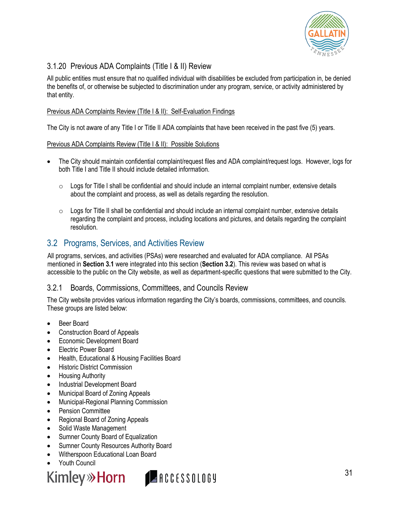

# <span id="page-36-0"></span>3.1.20 Previous ADA Complaints (Title I & II) Review

All public entities must ensure that no qualified individual with disabilities be excluded from participation in, be denied the benefits of, or otherwise be subjected to discrimination under any program, service, or activity administered by that entity.

#### Previous ADA Complaints Review (Title I & II): Self-Evaluation Findings

The City is not aware of any Title I or Title II ADA complaints that have been received in the past five (5) years.

## Previous ADA Complaints Review (Title I & II): Possible Solutions

- The City should maintain confidential complaint/request files and ADA complaint/request logs. However, logs for both Title I and Title II should include detailed information.
	- $\circ$  Logs for Title I shall be confidential and should include an internal complaint number, extensive details about the complaint and process, as well as details regarding the resolution.
	- $\circ$  Logs for Title II shall be confidential and should include an internal complaint number, extensive details regarding the complaint and process, including locations and pictures, and details regarding the complaint resolution.

# <span id="page-36-1"></span>3.2 Programs, Services, and Activities Review

All programs, services, and activities (PSAs) were researched and evaluated for ADA compliance. All PSAs mentioned in **Section 3.1** were integrated into this section (**Section 3.2**). This review was based on what is accessible to the public on the City website, as well as department-specific questions that were submitted to the City.

## <span id="page-36-2"></span>3.2.1 Boards, Commissions, Committees, and Councils Review

The City website provides various information regarding the City's boards, commissions, committees, and councils. These groups are listed below:

- Beer Board
- Construction Board of Appeals
- Economic Development Board
- Electric Power Board
- Health, Educational & Housing Facilities Board
- Historic District Commission
- Housing Authority
- Industrial Development Board
- Municipal Board of Zoning Appeals
- Municipal-Regional Planning Commission
- Pension Committee
- Regional Board of Zoning Appeals
- Solid Waste Management
- Sumner County Board of Equalization
- Sumner County Resources Authority Board
- Witherspoon Educational Loan Board
- Youth Council

# **Kimley»Horn**

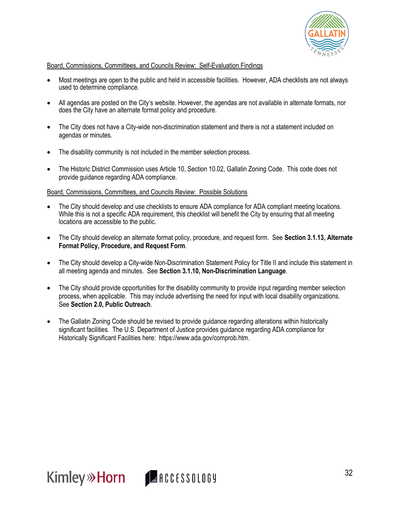

#### Board, Commissions, Committees, and Councils Review: Self-Evaluation Findings

- Most meetings are open to the public and held in accessible facilities. However, ADA checklists are not always used to determine compliance.
- All agendas are posted on the City's website. However, the agendas are not available in alternate formats, nor does the City have an alternate format policy and procedure.
- The City does not have a City-wide non-discrimination statement and there is not a statement included on agendas or minutes.
- The disability community is not included in the member selection process.
- The Historic District Commission uses Article 10, Section 10.02, Gallatin Zoning Code. This code does not provide guidance regarding ADA compliance.

#### Board, Commissions, Committees, and Councils Review: Possible Solutions

- The City should develop and use checklists to ensure ADA compliance for ADA compliant meeting locations. While this is not a specific ADA requirement, this checklist will benefit the City by ensuring that all meeting locations are accessible to the public.
- The City should develop an alternate format policy, procedure, and request form. See **[Section 3.1.13,](#page-27-0) Alternate [Format Policy, Procedure, and Request Form](#page-27-0)**.
- The City should develop a City-wide Non-Discrimination Statement Policy for Title II and include this statement in all meeting agenda and minutes. See **Section 3.1.10, [Non-Discrimination Language](#page-24-1)**.
- The City should provide opportunities for the disability community to provide input regarding member selection process, when applicable. This may include advertising the need for input with local disability organizations. See **Section 2.0, [Public Outreach](#page-8-0)**.
- The Gallatin Zoning Code should be revised to provide guidance regarding alterations within historically significant facilities. The U.S. Department of Justice provides guidance regarding ADA compliance for Historically Significant Facilities here: [https://www.ada.gov/comprob.htm.](https://www.ada.gov/comprob.htm)

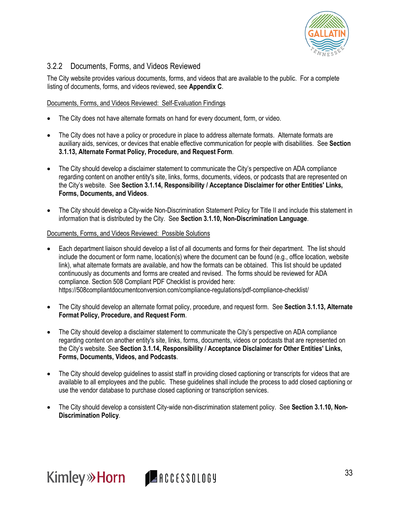

# <span id="page-38-0"></span>3.2.2 Documents, Forms, and Videos Reviewed

The City website provides various documents, forms, and videos that are available to the public. For a complete listing of documents, forms, and videos reviewed, see **[Appendix C](#page-60-7)**.

#### Documents, Forms, and Videos Reviewed: Self-Evaluation Findings

- The City does not have alternate formats on hand for every document, form, or video.
- The City does not have a policy or procedure in place to address alternate formats. Alternate formats are auxiliary aids, services, or devices that enable effective communication for people with disabilities. See **[Section](#page-27-0)  3.1.13, [Alternate Format Policy, Procedure, and Request Form](#page-27-0)**.
- The City should develop a disclaimer statement to communicate the City's perspective on ADA compliance regarding content on another entity's site, links, forms, documents, videos, or podcasts that are represented on the City's website. See **Section 3.1.14, [Responsibility / Acceptance Disclaimer for other Entities' Links,](#page-27-1)  [Forms, Documents, and Videos](#page-27-1)**.
- The City should develop a City-wide Non-Discrimination Statement Policy for Title II and include this statement in information that is distributed by the City. See **Section 3.1.10, [Non-Discrimination Language](#page-24-1)**.

#### Documents, Forms, and Videos Reviewed: Possible Solutions

- Each department liaison should develop a list of all documents and forms for their department. The list should include the document or form name, location(s) where the document can be found (e.g., office location, website link), what alternate formats are available, and how the formats can be obtained. This list should be updated continuously as documents and forms are created and revised. The forms should be reviewed for ADA compliance. Section 508 Compliant PDF Checklist is provided here: <https://508compliantdocumentconversion.com/compliance-regulations/pdf-compliance-checklist/>
- The City should develop an alternate format policy, procedure, and request form. See **[Section 3.1.13,](#page-27-0) Alternate [Format Policy, Procedure, and Request Form](#page-27-0)**.
- The City should develop a disclaimer statement to communicate the City's perspective on ADA compliance regarding content on another entity's site, links, forms, documents, videos or podcasts that are represented on the City's website. See **Section 3.1.14, [Responsibility / Acceptance Disclaimer for Other Entities' Links,](#page-27-1)  [Forms, Documents, Videos, and Podcasts](#page-27-1)**.
- The City should develop guidelines to assist staff in providing closed captioning or transcripts for videos that are available to all employees and the public. These guidelines shall include the process to add closed captioning or use the vendor database to purchase closed captioning or transcription services.
- The City should develop a consistent City-wide non-discrimination statement policy. See **[Section 3.1.10,](#page-24-1) Non-[Discrimination Policy](#page-24-1)**.



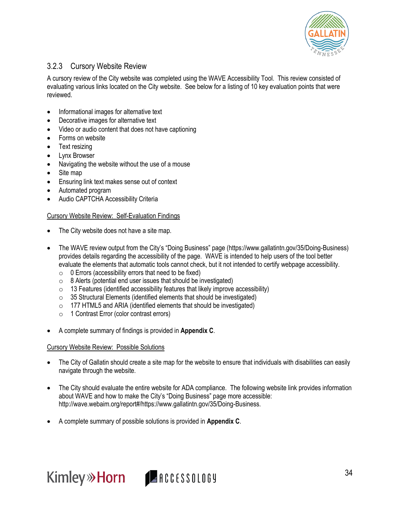

# <span id="page-39-0"></span>3.2.3 Cursory Website Review

A cursory review of the City website was completed using the WAVE Accessibility Tool. This review consisted of evaluating various links located on the City website. See below for a listing of 10 key evaluation points that were reviewed.

- Informational images for alternative text
- Decorative images for alternative text
- Video or audio content that does not have captioning
- Forms on website
- Text resizing
- Lynx Browser
- Navigating the website without the use of a mouse
- Site map
- Ensuring link text makes sense out of context
- Automated program
- Audio CAPTCHA Accessibility Criteria

#### Cursory Website Review: Self-Evaluation Findings

- The City website does not have a site map.
- The WAVE review output from the City's "Doing Business" page (https://www.gallatintn.gov/35/Doing-Business) provides details regarding the accessibility of the page. WAVE is intended to help users of the tool better evaluate the elements that automatic tools cannot check, but it not intended to certify webpage accessibility.
	- $\circ$  0 Errors (accessibility errors that need to be fixed)
	- $\circ$  8 Alerts (potential end user issues that should be investigated)
	- o 13 Features (identified accessibility features that likely improve accessibility)
	- o 35 Structural Elements (identified elements that should be investigated)
	- $\circ$  177 HTML5 and ARIA (identified elements that should be investigated)
	- o 1 Contrast Error (color contrast errors)
- A complete summary of findings is provided in **[Appendix C](#page-60-7)**.

#### Cursory Website Review: Possible Solutions

- The City of Gallatin should create a site map for the website to ensure that individuals with disabilities can easily navigate through the website.
- The City should evaluate the entire website for ADA compliance. The following website link provides information about WAVE and how to make the City's "Doing Business" page more accessible: [http://wave.webaim.org/report#/https://www.gallatintn.gov/35/Doing-Business.](http://wave.webaim.org/report#/https://www.gallatintn.gov/35/Doing-Business)
- A complete summary of possible solutions is provided in **[Appendix C](#page-60-7)**.

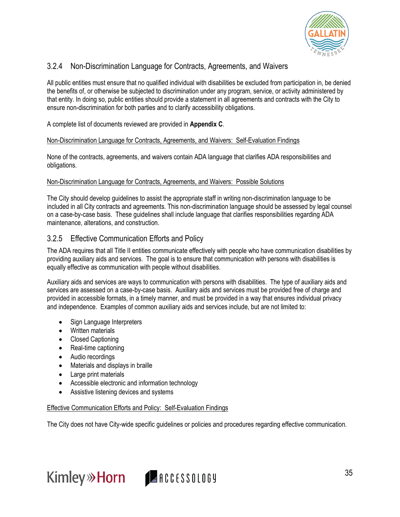

# <span id="page-40-0"></span>3.2.4 Non-Discrimination Language for Contracts, Agreements, and Waivers

All public entities must ensure that no qualified individual with disabilities be excluded from participation in, be denied the benefits of, or otherwise be subjected to discrimination under any program, service, or activity administered by that entity. In doing so, public entities should provide a statement in all agreements and contracts with the City to ensure non-discrimination for both parties and to clarify accessibility obligations.

A complete list of documents reviewed are provided in **[Appendix C](#page-60-7)**.

#### Non-Discrimination Language for Contracts, Agreements, and Waivers: Self-Evaluation Findings

None of the contracts, agreements, and waivers contain ADA language that clarifies ADA responsibilities and obligations.

#### Non-Discrimination Language for Contracts, Agreements, and Waivers: Possible Solutions

The City should develop guidelines to assist the appropriate staff in writing non-discrimination language to be included in all City contracts and agreements. This non-discrimination language should be assessed by legal counsel on a case-by-case basis. These guidelines shall include language that clarifies responsibilities regarding ADA maintenance, alterations, and construction.

## <span id="page-40-1"></span>3.2.5 Effective Communication Efforts and Policy

The ADA requires that all Title II entities communicate effectively with people who have communication disabilities by providing auxiliary aids and services. The goal is to ensure that communication with persons with disabilities is equally effective as communication with people without disabilities.

Auxiliary aids and services are ways to communication with persons with disabilities. The type of auxiliary aids and services are assessed on a case-by-case basis. Auxiliary aids and services must be provided free of charge and provided in accessible formats, in a timely manner, and must be provided in a way that ensures individual privacy and independence. Examples of common auxiliary aids and services include, but are not limited to:

- Sign Language Interpreters
- Written materials
- Closed Captioning
- Real-time captioning
- Audio recordings
- Materials and displays in braille
- Large print materials
- Accessible electronic and information technology
- Assistive listening devices and systems

#### Effective Communication Efforts and Policy: Self-Evaluation Findings

The City does not have City-wide specific guidelines or policies and procedures regarding effective communication.



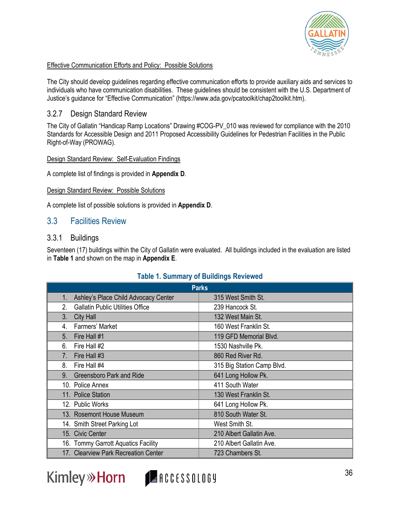

#### Effective Communication Efforts and Policy: Possible Solutions

The City should develop guidelines regarding effective communication efforts to provide auxiliary aids and services to individuals who have communication disabilities. These guidelines should be consistent with the U.S. Department of Justice's guidance for "Effective Communication" ([https://www.ada.gov/pcatoolkit/chap2toolkit.htm\)](https://www.ada.gov/pcatoolkit/chap2toolkit.htm).

## <span id="page-41-0"></span>3.2.7 Design Standard Review

The City of Gallatin "Handicap Ramp Locations" Drawing #COG-PV\_010 was reviewed for compliance with the 2010 Standards for Accessible Design and 2011 Proposed Accessibility Guidelines for Pedestrian Facilities in the Public Right-of-Way (PROWAG).

#### Design Standard Review: Self-Evaluation Findings

A complete list of findings is provided in **[Appendix D](#page-60-10)**.

#### Design Standard Review: Possible Solutions

A complete list of possible solutions is provided in **[Appendix D](#page-60-10)**.

## <span id="page-41-1"></span>3.3 Facilities Review

## <span id="page-41-2"></span>3.3.1 Buildings

Seventeen (17) buildings within the City of Gallatin were evaluated. All buildings included in the evaluation are listed in **Table 1** and shown on the map in **[Appendix E](#page-60-11)**.

## **Table 1. Summary of Buildings Reviewed**

<span id="page-41-3"></span>

| <b>Parks</b>                                  |                            |  |  |  |  |
|-----------------------------------------------|----------------------------|--|--|--|--|
| Ashley's Place Child Advocacy Center<br>1.    | 315 West Smith St.         |  |  |  |  |
| 2.<br><b>Gallatin Public Utilities Office</b> | 239 Hancock St.            |  |  |  |  |
| 3.<br><b>City Hall</b>                        | 132 West Main St.          |  |  |  |  |
| Farmers' Market<br>4.                         | 160 West Franklin St.      |  |  |  |  |
| Fire Hall #1<br>5.                            | 119 GFD Memorial Blvd.     |  |  |  |  |
| 6.<br>Fire Hall #2                            | 1530 Nashville Pk.         |  |  |  |  |
| Fire Hall #3<br>7.                            | 860 Red River Rd.          |  |  |  |  |
| Fire Hall #4<br>8.                            | 315 Big Station Camp Blvd. |  |  |  |  |
| <b>Greensboro Park and Ride</b><br>9.         | 641 Long Hollow Pk.        |  |  |  |  |
| 10. Police Annex                              | 411 South Water            |  |  |  |  |
| 11. Police Station                            | 130 West Franklin St.      |  |  |  |  |
| 12. Public Works                              | 641 Long Hollow Pk.        |  |  |  |  |
| 13. Rosemont House Museum                     | 810 South Water St.        |  |  |  |  |
| 14. Smith Street Parking Lot                  | West Smith St.             |  |  |  |  |
| 15. Civic Center                              | 210 Albert Gallatin Ave.   |  |  |  |  |
| 16. Tommy Garrott Aquatics Facility           | 210 Albert Gallatin Ave.   |  |  |  |  |
| 17. Clearview Park Recreation Center          | 723 Chambers St.           |  |  |  |  |

Kimley»Horn **LACCESSOLOGY** 

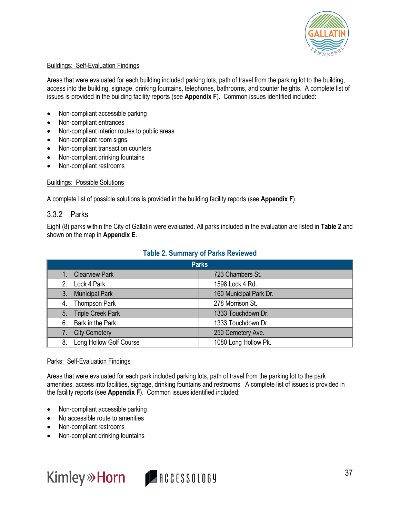

#### Buildings: Self-Evaluation Findings

Areas that were evaluated for each building included parking lots, path of travel from the parking lot to the building, access into the building, signage, drinking fountains, telephones, bathrooms, and counter heights. A complete list of issues is provided in the building facility reports (see **[Appendix F](#page-60-14)**).Common issues identified included:

- Non-compliant accessible parking
- Non-compliant entrances
- Non-compliant interior routes to public areas
- Non-compliant room signs
- Non-compliant transaction counters
- Non-compliant drinking fountains
- Non-compliant restrooms

#### Buildings: Possible Solutions

A complete list of possible solutions is provided in the building facility reports (see **[Appendix F](#page-60-14)**).

#### <span id="page-42-0"></span>3.3.2 Parks

Eight (8) parks within the City of Gallatin were evaluated. All parks included in the evaluation are listed in **Table 2** and shown on the map in **[Appendix E](#page-60-11)**.

<span id="page-42-1"></span>

| <b>Parks</b>                   |                        |  |  |  |
|--------------------------------|------------------------|--|--|--|
| <b>Clearview Park</b>          | 723 Chambers St.       |  |  |  |
| Lock 4 Park<br>$2_{1}$         | 1598 Lock 4 Rd.        |  |  |  |
| <b>Municipal Park</b><br>3.    | 160 Municipal Park Dr. |  |  |  |
| Thompson Park<br>4.            | 278 Morrison St.       |  |  |  |
| <b>Triple Creek Park</b><br>5. | 1333 Touchdown Dr.     |  |  |  |
| Bark in the Park<br>6.         | 1333 Touchdown Dr.     |  |  |  |
| <b>City Cemetery</b><br>7.     | 250 Cemetery Ave.      |  |  |  |
| Long Hollow Golf Course<br>8.  | 1080 Long Hollow Pk.   |  |  |  |

## **Table 2. Summary of Parks Reviewed**

#### Parks: Self-Evaluation Findings

Areas that were evaluated for each park included parking lots, path of travel from the parking lot to the park amenities, access into facilities, signage, drinking fountains and restrooms. A complete list of issues is provided in the facility reports (see **[Appendix F](#page-60-14)**).Common issues identified included:

- Non-compliant accessible parking
- No accessible route to amenities
- Non-compliant restrooms
- Non-compliant drinking fountains

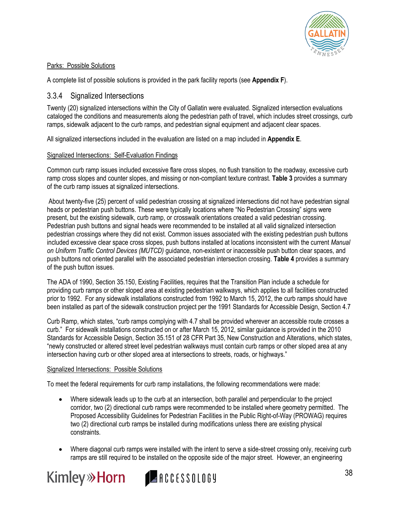

#### Parks: Possible Solutions

A complete list of possible solutions is provided in the park facility reports (see **[Appendix F](#page-60-14)**).

## <span id="page-43-0"></span>3.3.4 Signalized Intersections

Twenty (20) signalized intersections within the City of Gallatin were evaluated. Signalized intersection evaluations cataloged the conditions and measurements along the pedestrian path of travel, which includes street crossings, curb ramps, sidewalk adjacent to the curb ramps, and pedestrian signal equipment and adjacent clear spaces.

All signalized intersections included in the evaluation are listed on a map included in **[Appendix E](#page-60-11)**.

#### Signalized Intersections: Self-Evaluation Findings

Common curb ramp issues included excessive flare cross slopes, no flush transition to the roadway, excessive curb ramp cross slopes and counter slopes, and missing or non-compliant texture contrast. **Table 3** provides a summary of the curb ramp issues at signalized intersections.

About twenty-five (25) percent of valid pedestrian crossing at signalized intersections did not have pedestrian signal heads or pedestrian push buttons. These were typically locations where "No Pedestrian Crossing" signs were present, but the existing sidewalk, curb ramp, or crosswalk orientations created a valid pedestrian crossing. Pedestrian push buttons and signal heads were recommended to be installed at all valid signalized intersection pedestrian crossings where they did not exist. Common issues associated with the existing pedestrian push buttons included excessive clear space cross slopes, push buttons installed at locations inconsistent with the current *Manual on Uniform Traffic Control Devices (MUTCD)* guidance, non-existent or inaccessible push button clear spaces, and push buttons not oriented parallel with the associated pedestrian intersection crossing. **Table 4** provides a summary of the push button issues.

The ADA of 1990, Section 35.150, Existing Facilities, requires that the Transition Plan include a schedule for providing curb ramps or other sloped area at existing pedestrian walkways, which applies to all facilities constructed prior to 1992. For any sidewalk installations constructed from 1992 to March 15, 2012, the curb ramps should have been installed as part of the sidewalk construction project per the 1991 Standards for Accessible Design, Section 4.7

Curb Ramp, which states, "curb ramps complying with 4.7 shall be provided wherever an accessible route crosses a curb." For sidewalk installations constructed on or after March 15, 2012, similar guidance is provided in the 2010 Standards for Accessible Design, Section 35.151 of 28 CFR Part 35, New Construction and Alterations, which states, "newly constructed or altered street level pedestrian walkways must contain curb ramps or other sloped area at any intersection having curb or other sloped area at intersections to streets, roads, or highways."

#### Signalized Intersections: Possible Solutions

To meet the federal requirements for curb ramp installations, the following recommendations were made:

- Where sidewalk leads up to the curb at an intersection, both parallel and perpendicular to the project corridor, two (2) directional curb ramps were recommended to be installed where geometry permitted. The Proposed Accessibility Guidelines for Pedestrian Facilities in the Public Right-of-Way (PROWAG) requires two (2) directional curb ramps be installed during modifications unless there are existing physical constraints.
- Where diagonal curb ramps were installed with the intent to serve a side-street crossing only, receiving curb ramps are still required to be installed on the opposite side of the major street. However, an engineering

# Kimley»Horn **LACCESSOLOGY**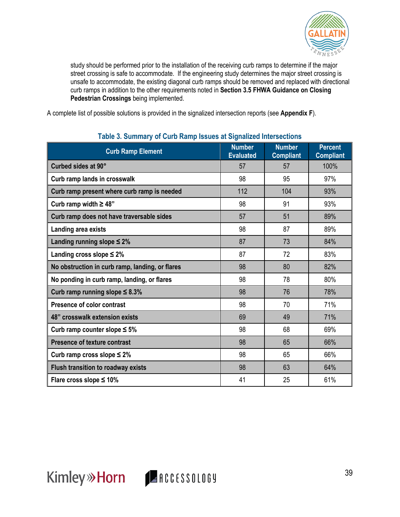

study should be performed prior to the installation of the receiving curb ramps to determine if the major street crossing is safe to accommodate. If the engineering study determines the major street crossing is unsafe to accommodate, the existing diagonal curb ramps should be removed and replaced with directional curb ramps in addition to the other requirements noted in **[Section 3.5 FHWA Guidance on Closing](#page-47-0)  [Pedestrian Crossings](#page-47-0)** being implemented.

A complete list of possible solutions is provided in the signalized intersection reports (see **[Appendix F](#page-60-14)**).

<span id="page-44-0"></span>

| <b>Curb Ramp Element</b>                        | <b>Number</b><br><b>Evaluated</b> | <b>Number</b><br><b>Compliant</b> | <b>Percent</b><br><b>Compliant</b> |
|-------------------------------------------------|-----------------------------------|-----------------------------------|------------------------------------|
| Curbed sides at 90°                             | 57                                | 57                                | 100%                               |
| Curb ramp lands in crosswalk                    | 98                                | 95                                | 97%                                |
| Curb ramp present where curb ramp is needed     | 112                               | 104                               | 93%                                |
| Curb ramp width $\geq 48$ "                     | 98                                | 91                                | 93%                                |
| Curb ramp does not have traversable sides       | 57                                | 51                                | 89%                                |
| Landing area exists                             | 98                                | 87                                | 89%                                |
| Landing running slope $\leq 2\%$                | 87                                | 73                                | 84%                                |
| Landing cross slope $\leq 2\%$                  | 87                                | 72                                | 83%                                |
| No obstruction in curb ramp, landing, or flares | 98                                | 80                                | 82%                                |
| No ponding in curb ramp, landing, or flares     | 98                                | 78                                | 80%                                |
| Curb ramp running slope $\leq 8.3\%$            | 98                                | 76                                | 78%                                |
| Presence of color contrast                      | 98                                | 70                                | 71%                                |
| 48" crosswalk extension exists                  | 69                                | 49                                | 71%                                |
| Curb ramp counter slope $\leq 5\%$              | 98                                | 68                                | 69%                                |
| <b>Presence of texture contrast</b>             | 98                                | 65                                | 66%                                |
| Curb ramp cross slope $\leq 2\%$                | 98                                | 65                                | 66%                                |
| Flush transition to roadway exists              | 98                                | 63                                | 64%                                |
| Flare cross slope $\leq 10\%$                   | 41                                | 25                                | 61%                                |

## **Table 3. Summary of Curb Ramp Issues at Signalized Intersections**

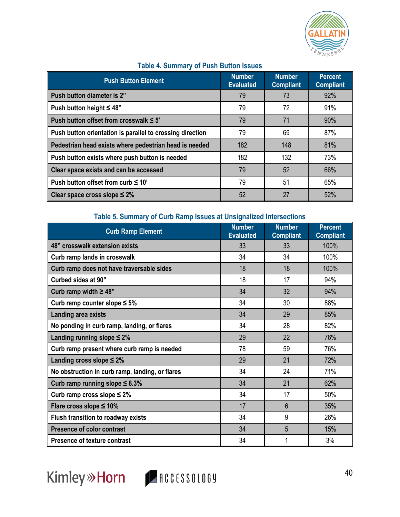

<span id="page-45-0"></span>

| <b>Push Button Element</b>                                | <b>Number</b><br><b>Evaluated</b> | <b>Number</b><br><b>Compliant</b> | <b>Percent</b><br><b>Compliant</b> |
|-----------------------------------------------------------|-----------------------------------|-----------------------------------|------------------------------------|
| Push button diameter is 2"                                | 79                                | 73                                | 92%                                |
| Push button height $\leq 48$ "                            | 79                                | 72                                | 91%                                |
| Push button offset from crosswalk $\leq 5$ '              | 79                                | 71                                | 90%                                |
| Push button orientation is parallel to crossing direction | 79                                | 69                                | 87%                                |
| Pedestrian head exists where pedestrian head is needed    | 182                               | 148                               | 81%                                |
| Push button exists where push button is needed            | 182                               | 132                               | 73%                                |
| Clear space exists and can be accessed                    | 79                                | 52                                | 66%                                |
| Push button offset from curb $\leq 10$                    | 79                                | 51                                | 65%                                |
| Clear space cross slope $\leq 2\%$                        | 52                                | 27                                | 52%                                |

# **Table 4. Summary of Push Button Issues**

# **Table 5. Summary of Curb Ramp Issues at Unsignalized Intersections**

<span id="page-45-1"></span>

| <b>Curb Ramp Element</b>                        | <b>Number</b><br><b>Evaluated</b> | <b>Number</b><br><b>Compliant</b> | <b>Percent</b><br><b>Compliant</b> |
|-------------------------------------------------|-----------------------------------|-----------------------------------|------------------------------------|
| 48" crosswalk extension exists                  | 33                                | 33                                | 100%                               |
| Curb ramp lands in crosswalk                    | 34                                | 34                                | 100%                               |
| Curb ramp does not have traversable sides       | 18                                | 18                                | 100%                               |
| Curbed sides at 90°                             | 18                                | 17                                | 94%                                |
| Curb ramp width $\geq 48$ "                     | 34                                | 32                                | 94%                                |
| Curb ramp counter slope $\leq 5\%$              | 34                                | 30                                | 88%                                |
| Landing area exists                             | 34                                | 29                                | 85%                                |
| No ponding in curb ramp, landing, or flares     | 34                                | 28                                | 82%                                |
| Landing running slope $\leq 2\%$                | 29                                | 22                                | 76%                                |
| Curb ramp present where curb ramp is needed     | 78                                | 59                                | 76%                                |
| Landing cross slope $\leq 2\%$                  | 29                                | 21                                | 72%                                |
| No obstruction in curb ramp, landing, or flares | 34                                | 24                                | 71%                                |
| Curb ramp running slope $\leq 8.3\%$            | 34                                | 21                                | 62%                                |
| Curb ramp cross slope $\leq 2\%$                | 34                                | 17                                | 50%                                |
| Flare cross slope $\leq 10\%$                   | 17                                | $6\phantom{1}$                    | 35%                                |
| Flush transition to roadway exists              | 34                                | 9                                 | 26%                                |
| <b>Presence of color contrast</b>               | 34                                | 5                                 | 15%                                |
| Presence of texture contrast                    | 34                                | 1                                 | 3%                                 |

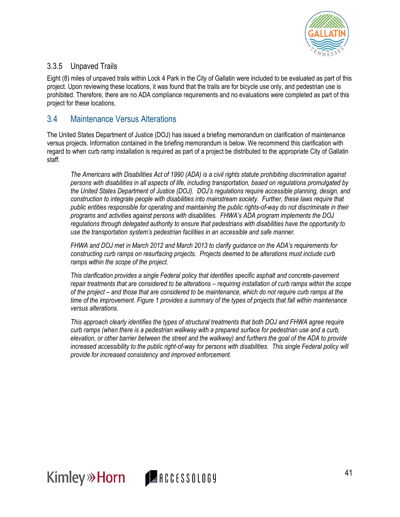

# <span id="page-46-0"></span>3.3.5 Unpaved Trails

Eight (8) miles of unpaved trails within Lock 4 Park in the City of Gallatin were included to be evaluated as part of this project. Upon reviewing these locations, it was found that the trails are for bicycle use only, and pedestrian use is prohibited. Therefore, there are no ADA compliance requirements and no evaluations were completed as part of this project for these locations.

# <span id="page-46-1"></span>3.4 Maintenance Versus Alterations

The United States Department of Justice (DOJ) has issued a briefing memorandum on clarification of maintenance versus projects. Information contained in the briefing memorandum is below. We recommend this clarification with regard to when curb ramp installation is required as part of a project be distributed to the appropriate City of Gallatin staff.

*The Americans with Disabilities Act of 1990 (ADA) is a civil rights statute prohibiting discrimination against persons with disabilities in all aspects of life, including transportation, based on regulations promulgated by the United States Department of Justice (DOJ). DOJ's regulations require accessible planning, design, and construction to integrate people with disabilities into mainstream society. Further, these laws require that public entities responsible for operating and maintaining the public rights-of-way do not discriminate in their programs and activities against persons with disabilities. FHWA's ADA program implements the DOJ regulations through delegated authority to ensure that pedestrians with disabilities have the opportunity to use the transportation system's pedestrian facilities in an accessible and safe manner.*

*FHWA and DOJ met in March 2012 and March 2013 to clarify guidance on the ADA's requirements for constructing curb ramps on resurfacing projects. Projects deemed to be alterations must include curb ramps within the scope of the project.* 

*This clarification provides a single Federal policy that identifies specific asphalt and concrete-pavement repair treatments that are considered to be alterations – requiring installation of curb ramps within the scope of the project – and those that are considered to be maintenance, which do not require curb ramps at the time of the improvement. Figure 1 provides a summary of the types of projects that fall within maintenance versus alterations.* 

*This approach clearly identifies the types of structural treatments that both DOJ and FHWA agree require curb ramps (when there is a pedestrian walkway with a prepared surface for pedestrian use and a curb, elevation, or other barrier between the street and the walkway) and furthers the goal of the ADA to provide increased accessibility to the public right-of-way for persons with disabilities. This single Federal policy will provide for increased consistency and improved enforcement.*

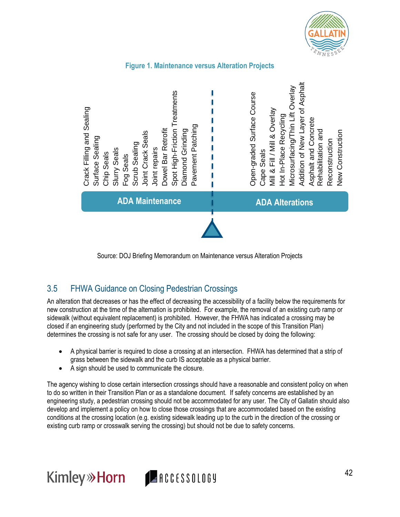

## **Figure 1. Maintenance versus Alteration Projects**

<span id="page-47-1"></span>

Source: DOJ Briefing Memorandum on Maintenance versus Alteration Projects

# <span id="page-47-0"></span>3.5 FHWA Guidance on Closing Pedestrian Crossings

An alteration that decreases or has the effect of decreasing the accessibility of a facility below the requirements for new construction at the time of the alternation is prohibited. For example, the removal of an existing curb ramp or sidewalk (without equivalent replacement) is prohibited. However, the FHWA has indicated a crossing may be closed if an engineering study (performed by the City and not included in the scope of this Transition Plan) determines the crossing is not safe for any user. The crossing should be closed by doing the following:

- A physical barrier is required to close a crossing at an intersection. FHWA has determined that a strip of grass between the sidewalk and the curb IS acceptable as a physical barrier.
- A sign should be used to communicate the closure.

<span id="page-47-2"></span>The agency wishing to close certain intersection crossings should have a reasonable and consistent policy on when to do so written in their Transition Plan or as a standalone document. If safety concerns are established by an engineering study, a pedestrian crossing should not be accommodated for any user. The City of Gallatin should also develop and implement a policy on how to close those crossings that are accommodated based on the existing conditions at the crossing location (e.g. existing sidewalk leading up to the curb in the direction of the crossing or existing curb ramp or crosswalk serving the crossing) but should not be due to safety concerns.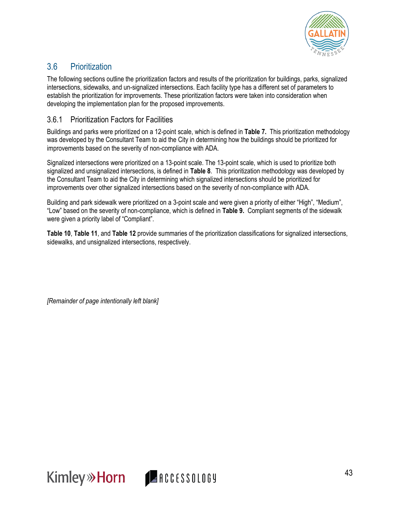

# <span id="page-48-0"></span>3.6 Prioritization

The following sections outline the prioritization factors and results of the prioritization for buildings, parks, signalized intersections, sidewalks, and un-signalized intersections. Each facility type has a different set of parameters to establish the prioritization for improvements. These prioritization factors were taken into consideration when developing the implementation plan for the proposed improvements.

# <span id="page-48-1"></span>3.6.1 Prioritization Factors for Facilities

Buildings and parks were prioritized on a 12-point scale, which is defined in **Table 7.** This prioritization methodology was developed by the Consultant Team to aid the City in determining how the buildings should be prioritized for improvements based on the severity of non-compliance with ADA.

Signalized intersections were prioritized on a 13-point scale. The 13-point scale, which is used to prioritize both signalized and unsignalized intersections, is defined in **Table 8**. This prioritization methodology was developed by the Consultant Team to aid the City in determining which signalized intersections should be prioritized for improvements over other signalized intersections based on the severity of non-compliance with ADA.

Building and park sidewalk were prioritized on a 3-point scale and were given a priority of either "High", "Medium", "Low" based on the severity of non-compliance, which is defined in **Table 9.** Compliant segments of the sidewalk were given a priority label of "Compliant".

**Table 10**, **Table 11**, and **Table 12** provide summaries of the prioritization classifications for signalized intersections, sidewalks, and unsignalized intersections, respectively.

*[Remainder of page intentionally left blank]*



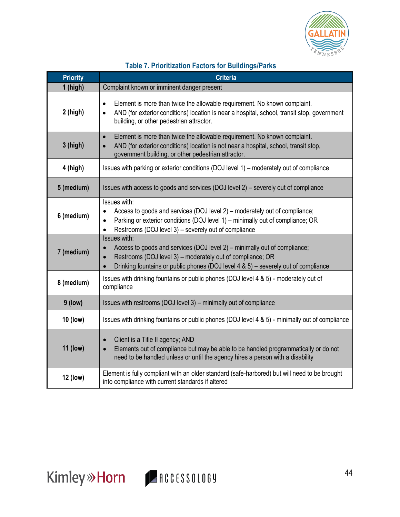

| <b>Priority</b> | <b>Criteria</b>                                                                                                                                                                                                                                                         |
|-----------------|-------------------------------------------------------------------------------------------------------------------------------------------------------------------------------------------------------------------------------------------------------------------------|
| 1 (high)        | Complaint known or imminent danger present                                                                                                                                                                                                                              |
| 2 (high)        | Element is more than twice the allowable requirement. No known complaint.<br>$\bullet$<br>AND (for exterior conditions) location is near a hospital, school, transit stop, government<br>$\bullet$<br>building, or other pedestrian attractor.                          |
| 3 (high)        | Element is more than twice the allowable requirement. No known complaint.<br>$\bullet$<br>AND (for exterior conditions) location is not near a hospital, school, transit stop,<br>$\bullet$<br>government building, or other pedestrian attractor.                      |
| 4 (high)        | Issues with parking or exterior conditions (DOJ level 1) - moderately out of compliance                                                                                                                                                                                 |
| 5 (medium)      | Issues with access to goods and services (DOJ level 2) - severely out of compliance                                                                                                                                                                                     |
| 6 (medium)      | Issues with:<br>Access to goods and services (DOJ level 2) - moderately out of compliance;<br>$\bullet$<br>Parking or exterior conditions (DOJ level 1) - minimally out of compliance; OR<br>$\bullet$<br>Restrooms (DOJ level 3) - severely out of compliance          |
| 7 (medium)      | Issues with:<br>Access to goods and services (DOJ level 2) - minimally out of compliance;<br>Restrooms (DOJ level 3) - moderately out of compliance; OR<br>$\bullet$<br>Drinking fountains or public phones (DOJ level 4 & 5) - severely out of compliance<br>$\bullet$ |
| 8 (medium)      | Issues with drinking fountains or public phones (DOJ level 4 & 5) - moderately out of<br>compliance                                                                                                                                                                     |
| $9$ (low)       | Issues with restrooms (DOJ level 3) - minimally out of compliance                                                                                                                                                                                                       |
| 10 (low)        | Issues with drinking fountains or public phones (DOJ level 4 & 5) - minimally out of compliance                                                                                                                                                                         |
| <b>11 (low)</b> | Client is a Title II agency; AND<br>$\bullet$<br>Elements out of compliance but may be able to be handled programmatically or do not<br>$\bullet$<br>need to be handled unless or until the agency hires a person with a disability                                     |
| 12 (low)        | Element is fully compliant with an older standard (safe-harbored) but will need to be brought<br>into compliance with current standards if altered                                                                                                                      |

# <span id="page-49-0"></span>**Table 7. Prioritization Factors for Buildings/Parks**



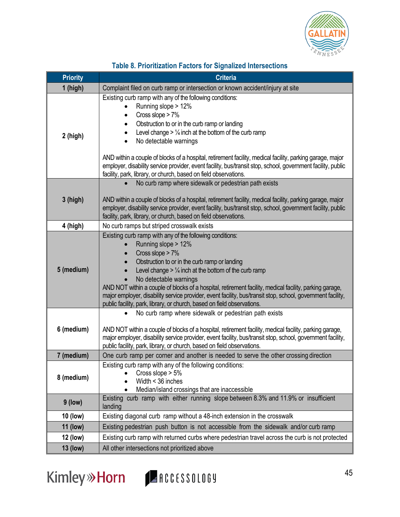

<span id="page-50-0"></span>

| <b>Priority</b> | <b>Criteria</b>                                                                                                                                                                                                                                                                                                                                                                                                                                                                                                                                 |  |  |
|-----------------|-------------------------------------------------------------------------------------------------------------------------------------------------------------------------------------------------------------------------------------------------------------------------------------------------------------------------------------------------------------------------------------------------------------------------------------------------------------------------------------------------------------------------------------------------|--|--|
| 1 (high)        | Complaint filed on curb ramp or intersection or known accident/injury at site                                                                                                                                                                                                                                                                                                                                                                                                                                                                   |  |  |
| 2 (high)        | Existing curb ramp with any of the following conditions:<br>Running slope > 12%<br>Cross slope > 7%<br>Obstruction to or in the curb ramp or landing<br>Level change $> 1/4$ inch at the bottom of the curb ramp<br>No detectable warnings<br>AND within a couple of blocks of a hospital, retirement facility, medical facility, parking garage, major<br>employer, disability service provider, event facility, bus/transit stop, school, government facility, public<br>facility, park, library, or church, based on field observations.     |  |  |
|                 | No curb ramp where sidewalk or pedestrian path exists                                                                                                                                                                                                                                                                                                                                                                                                                                                                                           |  |  |
| 3 (high)        | AND within a couple of blocks of a hospital, retirement facility, medical facility, parking garage, major<br>employer, disability service provider, event facility, bus/transit stop, school, government facility, public<br>facility, park, library, or church, based on field observations.                                                                                                                                                                                                                                                   |  |  |
| 4 (high)        | No curb ramps but striped crosswalk exists                                                                                                                                                                                                                                                                                                                                                                                                                                                                                                      |  |  |
| 5 (medium)      | Existing curb ramp with any of the following conditions:<br>Running slope > 12%<br>Cross slope > 7%<br>Obstruction to or in the curb ramp or landing<br>Level change $> 1/4$ inch at the bottom of the curb ramp<br>No detectable warnings<br>AND NOT within a couple of blocks of a hospital, retirement facility, medical facility, parking garage,<br>major employer, disability service provider, event facility, bus/transit stop, school, government facility,<br>public facility, park, library, or church, based on field observations. |  |  |
| 6 (medium)      | No curb ramp where sidewalk or pedestrian path exists<br>AND NOT within a couple of blocks of a hospital, retirement facility, medical facility, parking garage,<br>major employer, disability service provider, event facility, bus/transit stop, school, government facility,<br>public facility, park, library, or church, based on field observations.                                                                                                                                                                                      |  |  |
| 7 (medium)      | One curb ramp per corner and another is needed to serve the other crossing direction                                                                                                                                                                                                                                                                                                                                                                                                                                                            |  |  |
| 8 (medium)      | Existing curb ramp with any of the following conditions:<br>Cross slope $> 5\%$<br>Width $<$ 36 inches<br>Median/island crossings that are inaccessible                                                                                                                                                                                                                                                                                                                                                                                         |  |  |
| $9$ (low)       | Existing curb ramp with either running slope between 8.3% and 11.9% or insufficient<br>landing                                                                                                                                                                                                                                                                                                                                                                                                                                                  |  |  |
| 10 (low)        | Existing diagonal curb ramp without a 48-inch extension in the crosswalk                                                                                                                                                                                                                                                                                                                                                                                                                                                                        |  |  |
| <b>11 (low)</b> | Existing pedestrian push button is not accessible from the sidewalk and/or curb ramp                                                                                                                                                                                                                                                                                                                                                                                                                                                            |  |  |
| 12 (low)        | Existing curb ramp with returned curbs where pedestrian travel across the curb is not protected                                                                                                                                                                                                                                                                                                                                                                                                                                                 |  |  |
| 13 (low)        | All other intersections not prioritized above                                                                                                                                                                                                                                                                                                                                                                                                                                                                                                   |  |  |

# **Table 8. Prioritization Factors for Signalized Intersections**

Kimley»Horn PaccessoLogy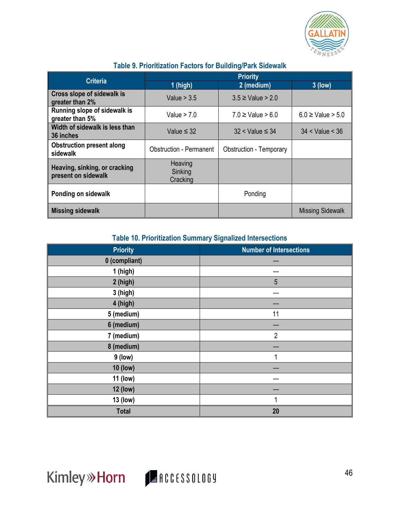

<span id="page-51-0"></span>

| <b>Criteria</b>                                      | <b>Priority</b>                |                                |                          |  |
|------------------------------------------------------|--------------------------------|--------------------------------|--------------------------|--|
|                                                      | 1 (high)<br>2 (medium)         |                                | 3 (low)                  |  |
| Cross slope of sidewalk is<br>greater than 2%        | Value $> 3.5$                  | $3.5 \geq$ Value $> 2.0$       |                          |  |
| Running slope of sidewalk is<br>greater than 5%      | Value $> 7.0$                  | $7.0 \geq$ Value > 6.0         | $6.0 \geq$ Value $> 5.0$ |  |
| Width of sidewalk is less than<br>36 inches          | Value $\leq$ 32                | $32 <$ Value $\leq 34$         | $34 <$ Value $<$ 36      |  |
| <b>Obstruction present along</b><br>sidewalk         | <b>Obstruction - Permanent</b> | <b>Obstruction - Temporary</b> |                          |  |
| Heaving, sinking, or cracking<br>present on sidewalk | Heaving<br>Sinking<br>Cracking |                                |                          |  |
| Ponding on sidewalk                                  |                                | Ponding                        |                          |  |
| <b>Missing sidewalk</b>                              |                                |                                | <b>Missing Sidewalk</b>  |  |

# **Table 9. Prioritization Factors for Building/Park Sidewalk**

# **Table 10. Prioritization Summary Signalized Intersections**

<span id="page-51-1"></span>

| <b>Priority</b> | <b>Number of Intersections</b> |
|-----------------|--------------------------------|
| 0 (compliant)   | ---                            |
| 1 (high)        |                                |
| 2 (high)        | 5                              |
| 3 (high)        | $---$                          |
| 4 (high)        |                                |
| 5 (medium)      | 11                             |
| 6 (medium)      |                                |
| 7 (medium)      | $\overline{2}$                 |
| 8 (medium)      | ---                            |
| $9$ (low)       | 1                              |
| 10 (low)        |                                |
| 11 (low)        | $---$                          |
| <b>12 (low)</b> | ---                            |
| 13 (low)        | 1                              |
| <b>Total</b>    | 20                             |

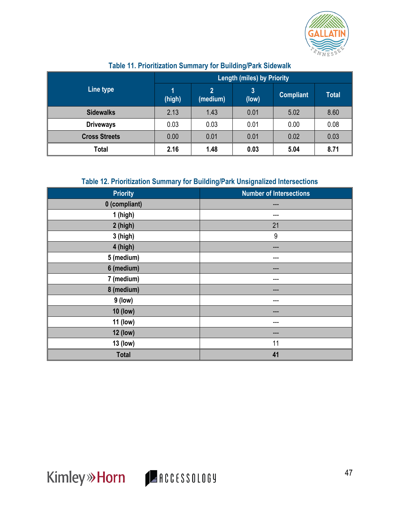

<span id="page-52-0"></span>

|                      | <b>Length (miles) by Priority</b> |                            |                         |                  |              |  |  |
|----------------------|-----------------------------------|----------------------------|-------------------------|------------------|--------------|--|--|
| Line type            | 4<br>(high)                       | $\overline{2}$<br>(medium) | $\overline{3}$<br>(low) | <b>Compliant</b> | <b>Total</b> |  |  |
| <b>Sidewalks</b>     | 2.13                              | 1.43                       | 0.01                    | 5.02             | 8.60         |  |  |
| <b>Driveways</b>     | 0.03                              | 0.03                       | 0.01                    | 0.00             | 0.08         |  |  |
| <b>Cross Streets</b> | 0.00                              | 0.01                       | 0.01                    | 0.02             | 0.03         |  |  |
| <b>Total</b>         | 2.16                              | 1.48                       | 0.03                    | 5.04             | 8.71         |  |  |

# **Table 11. Prioritization Summary for Building/Park Sidewalk**

# **Table 12. Prioritization Summary for Building/Park Unsignalized Intersections**

<span id="page-52-1"></span>

| <b>Priority</b> | <b>Number of Intersections</b> |
|-----------------|--------------------------------|
| 0 (compliant)   | ---                            |
| 1 (high)        | $---$                          |
| 2 (high)        | 21                             |
| 3 (high)        | 9                              |
| 4 (high)        | ---                            |
| 5 (medium)      | ---                            |
| 6 (medium)      | ---                            |
| 7 (medium)      | ---                            |
| 8 (medium)      | ---                            |
| 9 (low)         | ---                            |
| 10 (low)        | ---                            |
| 11 (low)        | $---$                          |
| <b>12 (low)</b> | ---                            |
| 13 (low)        | 11                             |
| <b>Total</b>    | 41                             |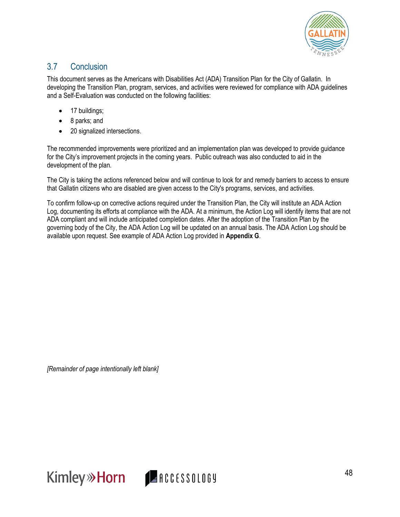

# <span id="page-53-0"></span>3.7 Conclusion

This document serves as the Americans with Disabilities Act (ADA) Transition Plan for the City of Gallatin. In developing the Transition Plan, program, services, and activities were reviewed for compliance with ADA guidelines and a Self-Evaluation was conducted on the following facilities:

- 17 buildings;
- 8 parks; and
- 20 signalized intersections.

The recommended improvements were prioritized and an implementation plan was developed to provide guidance for the City's improvement projects in the coming years. Public outreach was also conducted to aid in the development of the plan.

The City is taking the actions referenced below and will continue to look for and remedy barriers to access to ensure that Gallatin citizens who are disabled are given access to the City's programs, services, and activities.

To confirm follow-up on corrective actions required under the Transition Plan, the City will institute an ADA Action Log, documenting its efforts at compliance with the ADA. At a minimum, the Action Log will identify items that are not ADA compliant and will include anticipated completion dates. After the adoption of the Transition Plan by the governing body of the City, the ADA Action Log will be updated on an annual basis. The ADA Action Log should be available upon request. See example of ADA Action Log provided in **[Appendix G](#page-60-25)**.

*[Remainder of page intentionally left blank]*



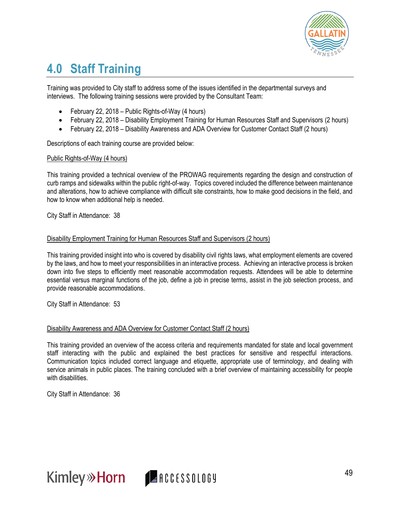

# <span id="page-54-0"></span>**4.0 Staff Training**

Training was provided to City staff to address some of the issues identified in the departmental surveys and interviews. The following training sessions were provided by the Consultant Team:

- February 22, 2018 Public Rights-of-Way (4 hours)
- February 22, 2018 Disability Employment Training for Human Resources Staff and Supervisors (2 hours)
- February 22, 2018 Disability Awareness and ADA Overview for Customer Contact Staff (2 hours)

Descriptions of each training course are provided below:

#### Public Rights-of-Way (4 hours)

This training provided a technical overview of the PROWAG requirements regarding the design and construction of curb ramps and sidewalks within the public right-of-way. Topics covered included the difference between maintenance and alterations, how to achieve compliance with difficult site constraints, how to make good decisions in the field, and how to know when additional help is needed.

City Staff in Attendance: 38

#### Disability Employment Training for Human Resources Staff and Supervisors (2 hours)

This training provided insight into who is covered by disability civil rights laws, what employment elements are covered by the laws, and how to meet your responsibilities in an interactive process. Achieving an interactive process is broken down into five steps to efficiently meet reasonable accommodation requests. Attendees will be able to determine essential versus marginal functions of the job, define a job in precise terms, assist in the job selection process, and provide reasonable accommodations.

City Staff in Attendance: 53

#### Disability Awareness and ADA Overview for Customer Contact Staff (2 hours)

This training provided an overview of the access criteria and requirements mandated for state and local government staff interacting with the public and explained the best practices for sensitive and respectful interactions. Communication topics included correct language and etiquette, appropriate use of terminology, and dealing with service animals in public places. The training concluded with a brief overview of maintaining accessibility for people with disabilities.

City Staff in Attendance: 36



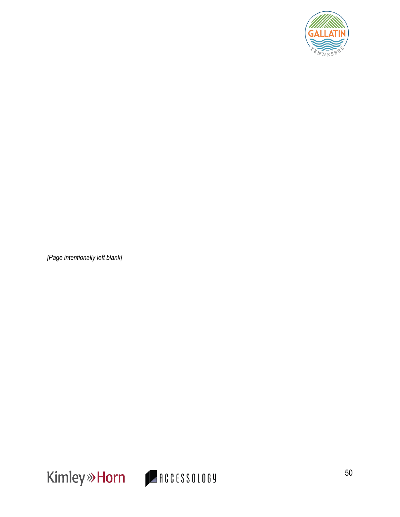

*[Page intentionally left blank]*



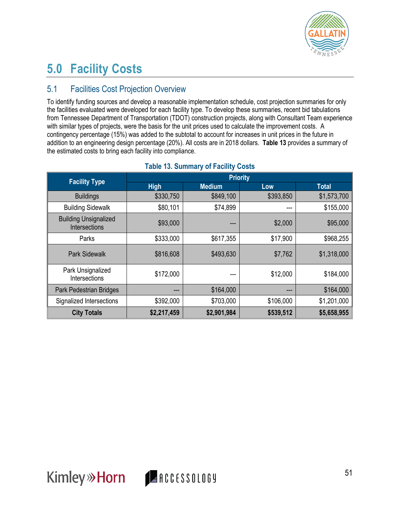

# <span id="page-56-0"></span>**5.0 Facility Costs**

# <span id="page-56-1"></span>5.1 Facilities Cost Projection Overview

To identify funding sources and develop a reasonable implementation schedule, cost projection summaries for only the facilities evaluated were developed for each facility type. To develop these summaries, recent bid tabulations from Tennessee Department of Transportation (TDOT) construction projects, along with Consultant Team experience with similar types of projects, were the basis for the unit prices used to calculate the improvement costs. A contingency percentage (15%) was added to the subtotal to account for increases in unit prices in the future in addition to an engineering design percentage (20%). All costs are in 2018 dollars. **Table 13** provides a summary of the estimated costs to bring each facility into compliance.

<span id="page-56-2"></span>

| <b>Facility Type</b>                                 | <b>Priority</b> |               |           |              |  |  |  |
|------------------------------------------------------|-----------------|---------------|-----------|--------------|--|--|--|
|                                                      | <b>High</b>     | <b>Medium</b> | Low       | <b>Total</b> |  |  |  |
| <b>Buildings</b>                                     | \$330,750       | \$849,100     | \$393,850 | \$1,573,700  |  |  |  |
| <b>Building Sidewalk</b>                             | \$80,101        | \$74,899      | ---       | \$155,000    |  |  |  |
| <b>Building Unsignalized</b><br><b>Intersections</b> | \$93,000        | ---           | \$2,000   | \$95,000     |  |  |  |
| Parks                                                | \$333,000       | \$617,355     | \$17,900  | \$968,255    |  |  |  |
| <b>Park Sidewalk</b>                                 | \$816,608       | \$493,630     | \$7,762   | \$1,318,000  |  |  |  |
| Park Unsignalized<br>Intersections                   | \$172,000       | ---           | \$12,000  | \$184,000    |  |  |  |
| Park Pedestrian Bridges                              |                 | \$164,000     | ---       | \$164,000    |  |  |  |
| Signalized Intersections                             | \$392,000       | \$703,000     | \$106,000 | \$1,201,000  |  |  |  |
| <b>City Totals</b>                                   | \$2,217,459     | \$2,901,984   | \$539,512 | \$5,658,955  |  |  |  |

## **Table 13. Summary of Facility Costs**

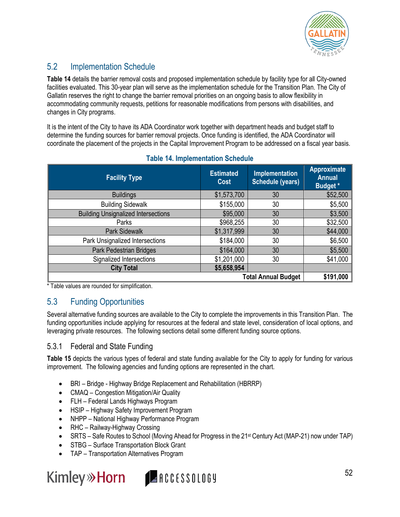

# <span id="page-57-0"></span>5.2 Implementation Schedule

**Table 14** details the barrier removal costs and proposed implementation schedule by facility type for all City-owned facilities evaluated. This 30-year plan will serve as the implementation schedule for the Transition Plan. The City of Gallatin reserves the right to change the barrier removal priorities on an ongoing basis to allow flexibility in accommodating community requests, petitions for reasonable modifications from persons with disabilities, and changes in City programs.

It is the intent of the City to have its ADA Coordinator work together with department heads and budget staff to determine the funding sources for barrier removal projects. Once funding is identified, the ADA Coordinator will coordinate the placement of the projects in the Capital Improvement Program to be addressed on a fiscal year basis.

<span id="page-57-3"></span>

| <b>Facility Type</b>                       | <b>Estimated</b><br><b>Cost</b> | <b>Implementation</b><br><b>Schedule (years)</b> | <b>Approximate</b><br><b>Annual</b><br><b>Budget</b> * |  |
|--------------------------------------------|---------------------------------|--------------------------------------------------|--------------------------------------------------------|--|
| <b>Buildings</b>                           | \$1,573,700                     | 30                                               | \$52,500                                               |  |
| <b>Building Sidewalk</b>                   | \$155,000                       | 30                                               | \$5,500                                                |  |
| <b>Building Unsignalized Intersections</b> | \$95,000                        | 30                                               | \$3,500                                                |  |
| Parks                                      | \$968,255                       | 30                                               | \$32,500                                               |  |
| <b>Park Sidewalk</b>                       | \$1,317,999                     | 30                                               | \$44,000                                               |  |
| Park Unsignalized Intersections            | \$184,000                       | 30                                               | \$6,500                                                |  |
| <b>Park Pedestrian Bridges</b>             | \$164,000                       | 30                                               | \$5,500                                                |  |
| Signalized Intersections                   | \$1,201,000                     | 30                                               | \$41,000                                               |  |
| <b>City Total</b>                          | \$5,658,954                     |                                                  |                                                        |  |
|                                            | \$191,000                       |                                                  |                                                        |  |

## **Table 14. Implementation Schedule**

\* Table values are rounded for simplification.

# <span id="page-57-1"></span>5.3 Funding Opportunities

Several alternative funding sources are available to the City to complete the improvements in this Transition Plan. The funding opportunities include applying for resources at the federal and state level, consideration of local options, and leveraging private resources. The following sections detail some different funding source options.

## <span id="page-57-2"></span>5.3.1 Federal and State Funding

**Table 15** depicts the various types of federal and state funding available for the City to apply for funding for various improvement. The following agencies and funding options are represented in the chart.

- BRI Bridge Highway Bridge Replacement and Rehabilitation (HBRRP)
- CMAQ Congestion Mitigation/Air Quality
- FLH Federal Lands Highways Program
- HSIP Highway Safety Improvement Program
- NHPP National Highway Performance Program
- RHC Railway-Highway Crossing
- SRTS Safe Routes to School (Moving Ahead for Progress in the 21<sup>st</sup> Century Act (MAP-21) now under TAP)
- STBG Surface Transportation Block Grant
- TAP Transportation Alternatives Program

**Kimley»Horn** 

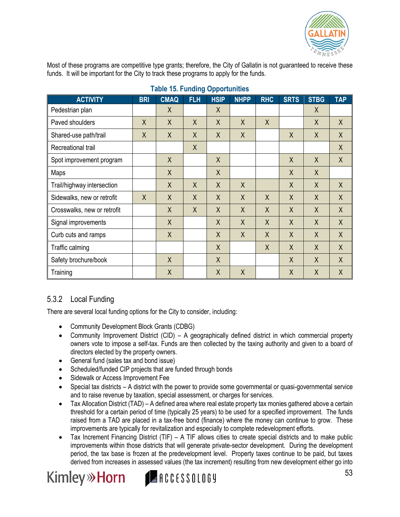

Most of these programs are competitive type grants; therefore, the City of Gallatin is not guaranteed to receive these funds. It will be important for the City to track these programs to apply for the funds.

<span id="page-58-1"></span>

| <b>ACTIVITY</b>             | <b>BRI</b>   | <b>CMAQ</b> | <b>FLH</b>   | <b>HSIP</b>  | <b>NHPP</b>  | <b>RHC</b>   | <b>SRTS</b>  | <b>STBG</b>  | <b>TAP</b>   |
|-----------------------------|--------------|-------------|--------------|--------------|--------------|--------------|--------------|--------------|--------------|
| Pedestrian plan             |              | X           |              | $\sf X$      |              |              |              | X            |              |
| Paved shoulders             | $\mathsf{X}$ | X           | X            | $\mathsf{X}$ | $\mathsf{X}$ | $\sf X$      |              | X            | $\sf X$      |
| Shared-use path/trail       | $\sf X$      | $\sf X$     | $\sf X$      | $\mathsf{X}$ | $\mathsf{X}$ |              | $\mathsf{X}$ | $\sf X$      | $\sf X$      |
| Recreational trail          |              |             | X            |              |              |              |              |              | $\sf X$      |
| Spot improvement program    |              | X           |              | $\sf X$      |              |              | $\mathsf{X}$ | $\mathsf{X}$ | $\sf X$      |
| Maps                        |              | $\sf X$     |              | $\sf X$      |              |              | $\mathsf{X}$ | X            |              |
| Trail/highway intersection  |              | X           | $\mathsf{X}$ | $\sf X$      | $\sf X$      |              | $\mathsf{X}$ | $\mathsf{X}$ | $\mathsf{X}$ |
| Sidewalks, new or retrofit  | $\mathsf{X}$ | X           | $\mathsf{X}$ | $\sf X$      | $\sf X$      | $\sf X$      | $\mathsf{X}$ | $\mathsf{X}$ | $\sf X$      |
| Crosswalks, new or retrofit |              | X           | $\mathsf{X}$ | $\sf X$      | X            | X            | $\sf X$      | X            | $\sf X$      |
| Signal improvements         |              | X           |              | $\sf X$      | $\sf X$      | $\sf X$      | $\sf X$      | X            | $\sf X$      |
| Curb cuts and ramps         |              | X           |              | $\sf X$      | $\mathsf{X}$ | $\mathsf{X}$ | $\sf X$      | $\mathsf{X}$ | $\sf X$      |
| Traffic calming             |              |             |              | $\sf X$      |              | $\sf X$      | $\sf X$      | X            | $\sf X$      |
| Safety brochure/book        |              | $\sf X$     |              | $\sf X$      |              |              | X            | X            | $\mathsf{X}$ |
| Training                    |              | X           |              | $\chi$       | X            |              | $\sf X$      | X            | $\chi$       |

## **Table 15. Funding Opportunities**

# <span id="page-58-0"></span>5.3.2 Local Funding

There are several local funding options for the City to consider, including:

- Community Development Block Grants (CDBG)
- Community Improvement District (CID) A geographically defined district in which commercial property owners vote to impose a self-tax. Funds are then collected by the taxing authority and given to a board of directors elected by the property owners.
- General fund (sales tax and bond issue)
- Scheduled/funded CIP projects that are funded through bonds
- Sidewalk or Access Improvement Fee
- Special tax districts A district with the power to provide some governmental or quasi-governmental service and to raise revenue by taxation, special assessment, or charges for services.
- Tax Allocation District (TAD) A defined area where real estate property tax monies gathered above a certain threshold for a certain period of time (typically 25 years) to be used for a specified improvement. The funds raised from a TAD are placed in a tax-free bond (finance) where the money can continue to grow. These improvements are typically for revitalization and especially to complete redevelopment efforts.
- Tax Increment Financing District (TIF) A TIF allows cities to create special districts and to make public improvements within those districts that will generate private-sector development. During the development period, the tax base is frozen at the predevelopment level. Property taxes continue to be paid, but taxes derived from increases in assessed values (the tax increment) resulting from new development either go into

# **Kimley»Horn**

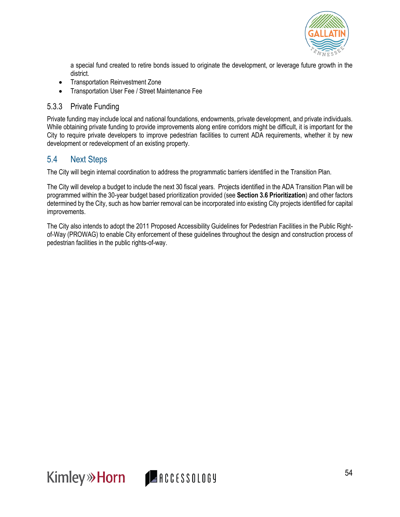

a special fund created to retire bonds issued to originate the development, or leverage future growth in the district.

- Transportation Reinvestment Zone
- Transportation User Fee / Street Maintenance Fee

## <span id="page-59-0"></span>5.3.3 Private Funding

Private funding may include local and national foundations, endowments, private development, and private individuals. While obtaining private funding to provide improvements along entire corridors might be difficult, it is important for the City to require private developers to improve pedestrian facilities to current ADA requirements, whether it by new development or redevelopment of an existing property.

# <span id="page-59-1"></span>5.4 Next Steps

The City will begin internal coordination to address the programmatic barriers identified in the Transition Plan.

The City will develop a budget to include the next 30 fiscal years. Projects identified in the ADA Transition Plan will be programmed within the 30-year budget based prioritization provided (see **[Section 3.6 Prioritization](#page-47-2)**) and other factors determined by the City, such as how barrier removal can be incorporated into existing City projects identified for capital improvements.

The City also intends to adopt the 2011 Proposed Accessibility Guidelines for Pedestrian Facilities in the Public Rightof-Way (PROWAG) to enable City enforcement of these guidelines throughout the design and construction process of pedestrian facilities in the public rights-of-way.